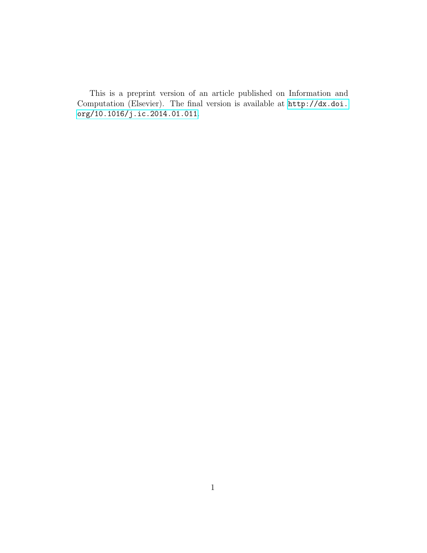This is a preprint version of an article published on Information and Computation (Elsevier). The final version is available at [http://dx.doi.](http://dx.doi.org/10.1016/j.ic.2014.01.011) [org/10.1016/j.ic.2014.01.011](http://dx.doi.org/10.1016/j.ic.2014.01.011).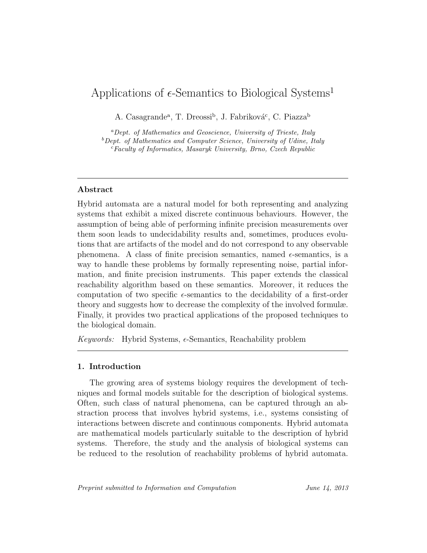# Applications of  $\epsilon$ -Semantics to Biological Systems<sup>1</sup>

A. Casagrande<sup>a</sup>, T. Dreossi<sup>b</sup>, J. Fabriková<sup>c</sup>, C. Piazza<sup>b</sup>

 ${}^a$ Dept. of Mathematics and Geoscience, University of Trieste, Italy  $b$  Dept. of Mathematics and Computer Science, University of Udine, Italy  $c$ Faculty of Informatics, Masaryk University, Brno, Czech Republic

# Abstract

Hybrid automata are a natural model for both representing and analyzing systems that exhibit a mixed discrete continuous behaviours. However, the assumption of being able of performing infinite precision measurements over them soon leads to undecidability results and, sometimes, produces evolutions that are artifacts of the model and do not correspond to any observable phenomena. A class of finite precision semantics, named  $\epsilon$ -semantics, is a way to handle these problems by formally representing noise, partial information, and finite precision instruments. This paper extends the classical reachability algorithm based on these semantics. Moreover, it reduces the computation of two specific  $\epsilon$ -semantics to the decidability of a first-order theory and suggests how to decrease the complexity of the involved formulæ. Finally, it provides two practical applications of the proposed techniques to the biological domain.

Keywords: Hybrid Systems,  $\epsilon$ -Semantics, Reachability problem

# 1. Introduction

The growing area of systems biology requires the development of techniques and formal models suitable for the description of biological systems. Often, such class of natural phenomena, can be captured through an abstraction process that involves hybrid systems, i.e., systems consisting of interactions between discrete and continuous components. Hybrid automata are mathematical models particularly suitable to the description of hybrid systems. Therefore, the study and the analysis of biological systems can be reduced to the resolution of reachability problems of hybrid automata.

Preprint submitted to Information and Computation June 14, 2013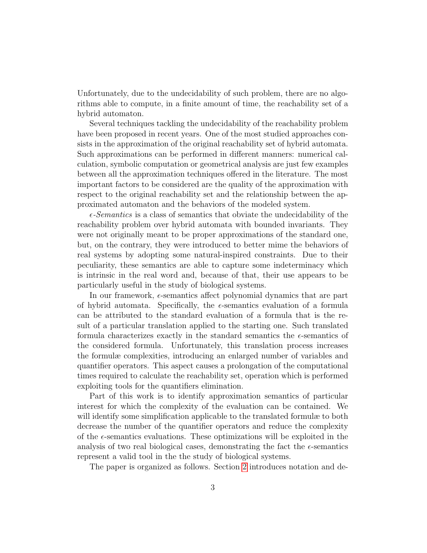Unfortunately, due to the undecidability of such problem, there are no algorithms able to compute, in a finite amount of time, the reachability set of a hybrid automaton.

Several techniques tackling the undecidability of the reachability problem have been proposed in recent years. One of the most studied approaches consists in the approximation of the original reachability set of hybrid automata. Such approximations can be performed in different manners: numerical calculation, symbolic computation or geometrical analysis are just few examples between all the approximation techniques offered in the literature. The most important factors to be considered are the quality of the approximation with respect to the original reachability set and the relationship between the approximated automaton and the behaviors of the modeled system.

 $\epsilon$ -Semantics is a class of semantics that obviate the undecidability of the reachability problem over hybrid automata with bounded invariants. They were not originally meant to be proper approximations of the standard one, but, on the contrary, they were introduced to better mime the behaviors of real systems by adopting some natural-inspired constraints. Due to their peculiarity, these semantics are able to capture some indeterminacy which is intrinsic in the real word and, because of that, their use appears to be particularly useful in the study of biological systems.

In our framework,  $\epsilon$ -semantics affect polynomial dynamics that are part of hybrid automata. Specifically, the  $\epsilon$ -semantics evaluation of a formula can be attributed to the standard evaluation of a formula that is the result of a particular translation applied to the starting one. Such translated formula characterizes exactly in the standard semantics the  $\epsilon$ -semantics of the considered formula. Unfortunately, this translation process increases the formulæ complexities, introducing an enlarged number of variables and quantifier operators. This aspect causes a prolongation of the computational times required to calculate the reachability set, operation which is performed exploiting tools for the quantifiers elimination.

Part of this work is to identify approximation semantics of particular interest for which the complexity of the evaluation can be contained. We will identify some simplification applicable to the translated formulæ to both decrease the number of the quantifier operators and reduce the complexity of the  $\epsilon$ -semantics evaluations. These optimizations will be exploited in the analysis of two real biological cases, demonstrating the fact the  $\epsilon$ -semantics represent a valid tool in the the study of biological systems.

The paper is organized as follows. Section [2](#page-3-0) introduces notation and de-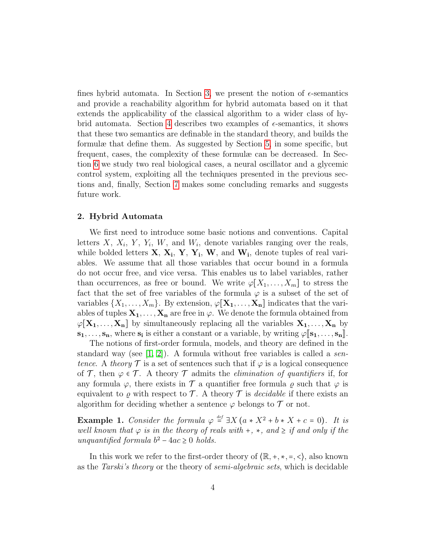fines hybrid automata. In Section [3,](#page-7-0) we present the notion of  $\epsilon$ -semantics and provide a reachability algorithm for hybrid automata based on it that extends the applicability of the classical algorithm to a wider class of hy-brid automata. Section [4](#page-8-0) describes two examples of  $\epsilon$ -semantics, it shows that these two semantics are definable in the standard theory, and builds the formulæ that define them. As suggested by Section [5,](#page-15-0) in some specific, but frequent, cases, the complexity of these formulæ can be decreased. In Section [6](#page-17-0) we study two real biological cases, a neural oscillator and a glycemic control system, exploiting all the techniques presented in the previous sections and, finally, Section [7](#page-23-0) makes some concluding remarks and suggests future work.

# <span id="page-3-0"></span>2. Hybrid Automata

We first need to introduce some basic notions and conventions. Capital letters  $X$ ,  $X_i$ ,  $Y$ ,  $Y_i$ ,  $W$ , and  $W_i$ , denote variables ranging over the reals, while bolded letters  $X, X_i, Y, Y_i, W$ , and  $W_i$ , denote tuples of real variables. We assume that all those variables that occur bound in a formula do not occur free, and vice versa. This enables us to label variables, rather than occurrences, as free or bound. We write  $\varphi[X_1, \ldots, X_m]$  to stress the fact that the set of free variables of the formula  $\varphi$  is a subset of the set of variables  $\{X_1, \ldots, X_m\}$ . By extension,  $\varphi[\mathbf{X}_1, \ldots, \mathbf{X}_n]$  indicates that the variables of tuples  $X_1, \ldots, X_n$  are free in  $\varphi$ . We denote the formula obtained from  $\varphi[\mathbf{X}_1, \ldots, \mathbf{X}_n]$  by simultaneously replacing all the variables  $\mathbf{X}_1, \ldots, \mathbf{X}_n$  by  $\mathbf{s}_1, \ldots, \mathbf{s}_n$ , where  $\mathbf{s}_i$  is either a constant or a variable, by writing  $\varphi[\mathbf{s}_1, \ldots, \mathbf{s}_n]$ .<br>The notions of first order formula models, and theory are defined in the

The notions of first-order formula, models, and theory are defined in the standard way (see  $[1, 2]$  $[1, 2]$ ). A formula without free variables is called a sentence. A theory  $\mathcal T$  is a set of sentences such that if  $\varphi$  is a logical consequence of T, then  $\varphi \in \mathcal{T}$ . A theory T admits the *elimination of quantifiers* if, for any formula  $\varphi$ , there exists in  $\mathcal T$  a quantifier free formula  $\rho$  such that  $\varphi$  is equivalent to  $\rho$  with respect to  $\mathcal T$ . A theory  $\mathcal T$  is *decidable* if there exists an algorithm for deciding whether a sentence  $\varphi$  belongs to  $\mathcal T$  or not.

**Example 1.** Consider the formula  $\varphi \stackrel{\text{def}}{=} \exists X (a * X^2 + b * X + c = 0)$ . It is well known that  $\varphi$  is in the theory of reals with +,  $\ast$ , and  $\geq$  if and only if the unquantified formula  $b^2 - 4ac \geq 0$  holds.

In this work we refer to the first-order theory of  $(\mathbb{R}, +, *, =, <)$ , also known as the Tarski's theory or the theory of semi-algebraic sets, which is decidable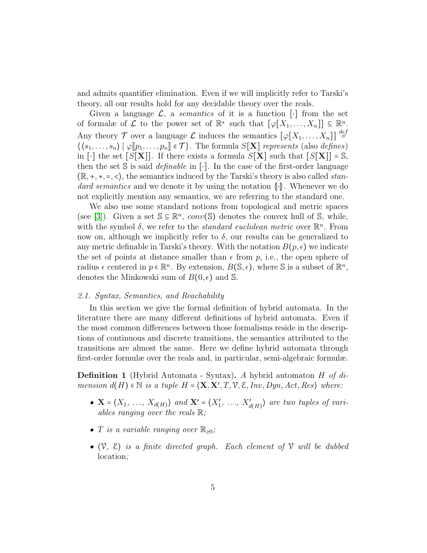and admits quantifier elimination. Even if we will implicitly refer to Tarski's theory, all our results hold for any decidable theory over the reals.

Given a language  $\mathcal{L}$ , a *semantics* of it is a function [⋅] from the set of formalæ of  $\mathcal L$  to the power set of  $\mathbb R^*$  such that  $[\varphi[X_1,\ldots,X_n]] \subseteq \mathbb R^n$ . Any theory  $\mathcal T$  over a language  $\mathcal L$  induces the semantics  $[\varphi[X_1,\ldots,X_n]] \stackrel{def}{=}$  $\{(s_1, \ldots, s_n) \mid \varphi[p_1, \ldots, p_n] \in \mathcal{T}\}.$  The formula  $S[\mathbf{X}]$  represents (also defines) in [⋅] the set  $[S[\mathbf{X}]]$ . If there exists a formula  $S[\mathbf{X}]$  such that  $[S[\mathbf{X}]] = \mathbb{S}$ , then the set S is said *definable* in [⋅]. In the case of the first-order language  $\langle \mathbb{R}, +, *, =, \langle \rangle$ , the semantics induced by the Tarski's theory is also called *stan*dard semantics and we denote it by using the notation {∣⋅∣}. Whenever we do not explicitly mention any semantics, we are referring to the standard one.

We also use some standard notions from topological and metric spaces (see [\[3\]](#page-24-2)). Given a set  $\mathbb{S} \subseteq \mathbb{R}^n$ , conv(S) denotes the convex hull of S, while, with the symbol  $\delta$ , we refer to the *standard euclidean metric* over  $\mathbb{R}^n$ . From now on, although we implicitly refer to  $\delta$ , our results can be generalized to any metric definable in Tarski's theory. With the notation  $B(p, \epsilon)$  we indicate the set of points at distance smaller than  $\epsilon$  from p, i.e., the open sphere of radius  $\epsilon$  centered in  $p \in \mathbb{R}^n$ . By extension,  $B(\mathbb{S}, \epsilon)$ , where S is a subset of  $\mathbb{R}^n$ , denotes the Minkowski sum of  $B(0, \epsilon)$  and S.

## 2.1. Syntax, Semantics, and Reachability

In this section we give the formal definition of hybrid automata. In the literature there are many different definitions of hybrid automata. Even if the most common differences between those formalisms reside in the descriptions of continuous and discrete transitions, the semantics attributed to the transitions are almost the same. Here we define hybrid automata through first-order formulæ over the reals and, in particular, semi-algebraic formulæ.

<span id="page-4-0"></span>**Definition 1** (Hybrid Automata - Syntax). A hybrid automaton H of  $di$ mension  $d(H) \in \mathbb{N}$  is a tuple  $H = \langle \mathbf{X}, \mathbf{X}', T, \mathcal{V}, \mathcal{E}, Inv, Dyn, Act, Res \rangle$  where:

- $\mathbf{X} = \langle X_1, \ldots, X_{d(H)} \rangle$  and  $\mathbf{X}' = \langle X'_1, \ldots, X'_{d(H)} \rangle$  are two tuples of variables ranging over the reals  $\mathbb{R}$ ;
- T is a variable ranging over  $\mathbb{R}_{\geq 0}$ ;
- $\langle V, \xi \rangle$  is a finite directed graph. Each element of  $V$  will be dubbed location;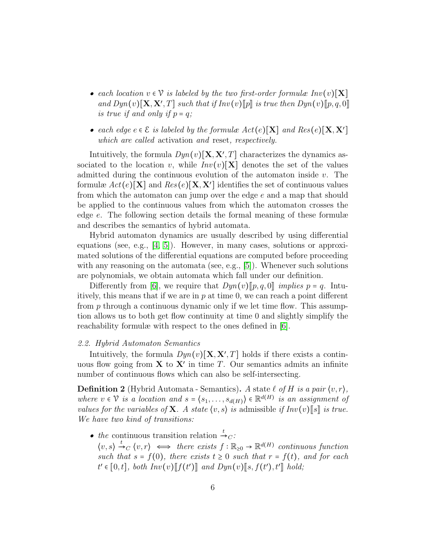- each location  $v \in V$  is labeled by the two first-order formulæ  $Inv(v)[X]$ and  $Dyn(v)[\mathbf{X}, \mathbf{X}', T]$  such that if  $Inv(v)[p]$  is true then  $Dyn(v)[p, q, 0]$ <br>is true if and only if  $p = q$ : is true if and only if  $p = q$ ;
- each edge  $e \in \mathcal{E}$  is labeled by the formulæ  $Act(e)[\mathbf{X}]$  and  $Res(e)[\mathbf{X}, \mathbf{X}']$ which are called activation and reset, respectively.

Intuitively, the formula  $Dyn(v)[\mathbf{X}, \mathbf{X}', T]$  characterizes the dynamics associated to the location v, while  $Inv(v)[X]$  denotes the set of the values admitted during the continuous evolution of the automaton inside  $v$ . The formulæ  $Act(e)[\mathbf{X}]$  and  $Res(e)[\mathbf{X},\mathbf{X}']$  identifies the set of continuous values from which the automaton can jump over the edge e and a map that should be applied to the continuous values from which the automaton crosses the edge e. The following section details the formal meaning of these formulæ and describes the semantics of hybrid automata.

Hybrid automaton dynamics are usually described by using differential equations (see, e.g., [\[4,](#page-24-3) [5\]](#page-24-4)). However, in many cases, solutions or approximated solutions of the differential equations are computed before proceeding with any reasoning on the automata (see, e.g.,  $[5]$ ). Whenever such solutions are polynomials, we obtain automata which fall under our definition.

Differently from [\[6\]](#page-24-5), we require that  $Dyn(v)[p, q, 0]$  implies  $p = q$ . Intuitively, this means that if we are in  $p$  at time 0, we can reach a point different from  $p$  through a continuous dynamic only if we let time flow. This assumption allows us to both get flow continuity at time 0 and slightly simplify the reachability formulæ with respect to the ones defined in [\[6\]](#page-24-5).

# 2.2. Hybrid Automaton Semantics

Intuitively, the formula  $Dyn(v)[\mathbf{X}, \mathbf{X}', T]$  holds if there exists a continuous flow going from  $X$  to  $X'$  in time T. Our semantics admits an infinite number of continuous flows which can also be self-intersecting.

**Definition 2** (Hybrid Automata - Semantics). A state  $\ell$  of H is a pair  $\langle v, r \rangle$ , where  $v \in \mathcal{V}$  is a location and  $s = \langle s_1, \ldots, s_{d(H)} \rangle \in \mathbb{R}^{d(H)}$  is an assignment of values for the variables of **X**. A state  $\langle v, s \rangle$  is admissible if  $Inv(v)[s]$  is true. We have two kind of transitions:

• the continuous transition relation  $\stackrel{t}{\rightarrow}_C$ :  $\langle v, s \rangle \stackrel{t}{\rightarrow}{}_{C} \langle v, r \rangle \iff$  there exists  $f : \mathbb{R}_{\geq 0} \to \mathbb{R}^{d(H)}$  continuous function such that  $s = f(0)$ , there exists  $t \geq 0$  such that  $r = f(t)$ , and for each  $t' \in [0, t], \text{ both } Inv(v)[\llbracket f(t') \rrbracket \text{ and } Dyn(v)[\llbracket s, f(t'), t' \rrbracket \text{ hold};$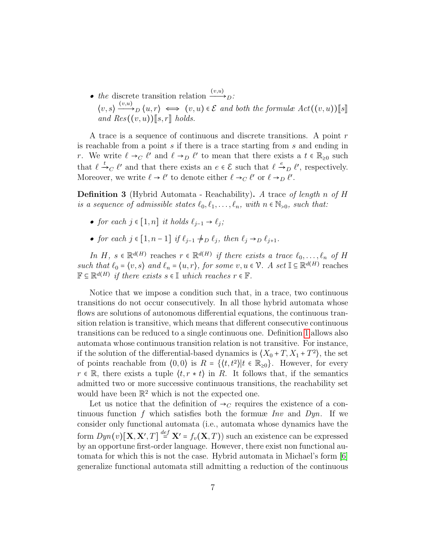• the discrete transition relation  $\xrightarrow{(v,u)}$  $\langle v, s \rangle \xrightarrow{(v,u)} \langle u, r \rangle \iff (v, u) \in \mathcal{E}$  and both the formulæ  $Act((v, u))[[s]]$ and  $Res((v, u))$ [s, r] holds.

A trace is a sequence of continuous and discrete transitions. A point r is reachable from a point s if there is a trace starting from s and ending in r. We write  $\ell \to_C \ell'$  and  $\ell \to_D \ell'$  to mean that there exists a  $t \in \mathbb{R}_{\geq 0}$  such that  $\ell \stackrel{t}{\rightarrow}_C \ell'$  and that there exists an  $e \in \mathcal{E}$  such that  $\ell \stackrel{e}{\rightarrow}_D \ell'$ , respectively. Moreover, we write  $\ell \to \ell'$  to denote either  $\ell \to_C \ell'$  or  $\ell \to_D \ell'$ .

**Definition 3** (Hybrid Automata - Reachability). A trace of length n of H is a sequence of admissible states  $\ell_0, \ell_1, \ldots, \ell_n$ , with  $n \in \mathbb{N}_{>0}$ , such that:

- for each  $j \in [1, n]$  it holds  $\ell_{j-1} \to \ell_j$ ;
- for each  $j \in [1, n-1]$  if  $\ell_{j-1} \nrightarrow_D \ell_j$ , then  $\ell_j \rightarrow_D \ell_{j+1}$ .

In H,  $s \in \mathbb{R}^{d(H)}$  reaches  $r \in \mathbb{R}^{d(H)}$  if there exists a trace  $\ell_0, \ldots, \ell_n$  of H such that  $\ell_0 = \langle v, s \rangle$  and  $\ell_n = \langle u, r \rangle$ , for some  $v, u \in \mathcal{V}$ . A set  $\mathbb{I} \subseteq \mathbb{R}^{d(H)}$  reaches  $\mathbb{F} \subseteq \mathbb{R}^{d(H)}$  if there exists  $s \in \mathbb{I}$  which reaches  $r \in \mathbb{F}$ .

Notice that we impose a condition such that, in a trace, two continuous transitions do not occur consecutively. In all those hybrid automata whose flows are solutions of autonomous differential equations, the continuous transition relation is transitive, which means that different consecutive continuous transitions can be reduced to a single continuous one. Definition [1](#page-4-0) allows also automata whose continuous transition relation is not transitive. For instance, if the solution of the differential-based dynamics is  $(X_0 + T, X_1 + T^2)$ , the set of points reachable from  $\langle 0,0 \rangle$  is  $R = \{ \langle t, t^2 \rangle | t \in \mathbb{R}_{\geq 0} \}$ . However, for every  $r \in \mathbb{R}$ , there exists a tuple  $\langle t, r \star t \rangle$  in R. It follows that, if the semantics admitted two or more successive continuous transitions, the reachability set would have been  $\mathbb{R}^2$  which is not the expected one.

Let us notice that the definition of  $\rightarrow_C$  requires the existence of a continuous function f which satisfies both the formuæ Inv and Dyn. If we consider only functional automata (i.e., automata whose dynamics have the form  $Dyn(v)[\mathbf{X}, \mathbf{X}', T] \stackrel{def}{=} \mathbf{X}' = f_v(\mathbf{X}, T)$  such an existence can be expressed by an opportune first-order language. However, there exist non functional automata for which this is not the case. Hybrid automata in Michael's form [\[6\]](#page-24-5) generalize functional automata still admitting a reduction of the continuous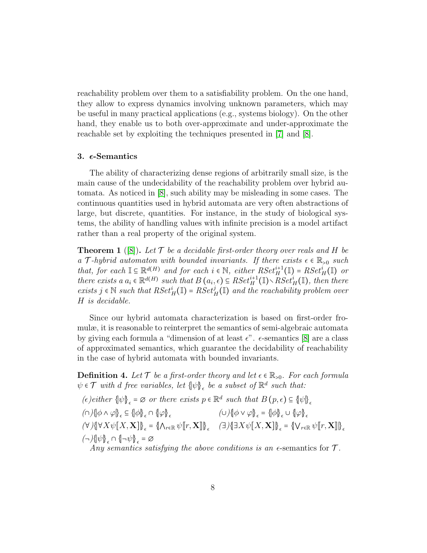reachability problem over them to a satisfiability problem. On the one hand, they allow to express dynamics involving unknown parameters, which may be useful in many practical applications (e.g., systems biology). On the other hand, they enable us to both over-approximate and under-approximate the reachable set by exploiting the techniques presented in [\[7\]](#page-24-6) and [\[8\]](#page-25-0).

## <span id="page-7-0"></span>3.  $\epsilon$ -Semantics

The ability of characterizing dense regions of arbitrarily small size, is the main cause of the undecidability of the reachability problem over hybrid automata. As noticed in [\[8\]](#page-25-0), such ability may be misleading in some cases. The continuous quantities used in hybrid automata are very often abstractions of large, but discrete, quantities. For instance, in the study of biological systems, the ability of handling values with infinite precision is a model artifact rather than a real property of the original system.

<span id="page-7-1"></span>**Theorem 1** ([\[8\]](#page-25-0)). Let  $\mathcal{T}$  be a decidable first-order theory over reals and H be a T-hybrid automaton with bounded invariants. If there exists  $\epsilon \in \mathbb{R}_{>0}$  such that, for each  $\mathbb{I} \subseteq \mathbb{R}^{d(H)}$  and for each  $i \in \mathbb{N}$ , either  $RSet_H^{i+1}(\mathbb{I}) = RSet_H^i(\mathbb{I})$  or there exists a  $a_i \in \mathbb{R}^{d(H)}$  such that  $B(a_i, \epsilon) \subseteq RSet_H^{i+1}(\mathbb{I}) \setminus \overline{RSet}_H^{i}(\mathbb{I})$ , then there exists  $j \in \mathbb{N}$  such that  $RSet^i_H(\mathbb{I}) = RSet^j_H(\mathbb{I})$  and the reachability problem over H is decidable.

Since our hybrid automata characterization is based on first-order fromulæ, it is reasonable to reinterpret the semantics of semi-algebraic automata by giving each formula a "dimension of at least  $\epsilon$ ".  $\epsilon$ -semantics [\[8\]](#page-25-0) are a class of approximated semantics, which guarantee the decidability of reachability in the case of hybrid automata with bounded invariants.

<span id="page-7-2"></span>**Definition 4.** Let  $\mathcal{T}$  be a first-order theory and let  $\epsilon \in \mathbb{R}_{>0}$ . For each formula  $\psi \in \mathcal{T}$  with d free variables, let  $\{\psi\}_{\epsilon}$  be a subset of  $\mathbb{R}^d$  such that:

(e) either  $\{\psi\}_{\epsilon} = \emptyset$  or there exists  $p \in \mathbb{R}^d$  such that  $B(p, \epsilon) \subseteq {\psi\}_{\epsilon}$  $\text{(a) } \left\{\phi \wedge \phi\right\}_{\epsilon} \subseteq \text{and} \quad \text{(b) } \left\{\phi \vee \phi\right\}_{\epsilon} = \text{and} \quad \text{(c) } \left\{\phi\right\}_{\epsilon} \cup \text{and} \quad \text{(d) } \left\{\phi\right\}_{\epsilon}$  $(\forall) \{ \forall X \psi[X, \mathbf{X}] \}_{\epsilon} = \{ \bigwedge_{r \in \mathbb{R}} \psi[r, \mathbf{X}]\}_{\epsilon} \quad (\exists) \{ \exists X \psi[X, \mathbf{X}] \}_{\epsilon} = \{ \bigvee_{r \in \mathbb{R}} \psi[r, \mathbf{X}]\}_{\epsilon}$  $\langle \neg \rangle \{ \psi \}_{\epsilon} \cap \{ \neg \psi \}_{\epsilon} = \varnothing$ 

Any semantics satisfying the above conditions is an  $\epsilon$ -semantics for  $\mathcal{T}$ .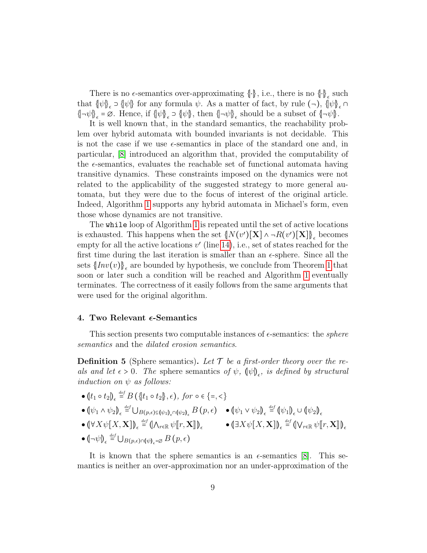There is no  $\epsilon$ -semantics over-approximating  $\{\cdot\}$ , i.e., there is no  $\{\cdot\}_\epsilon$  such that  $\{\psi\}_{\epsilon} \supset \{\psi\}$  for any formula  $\psi$ . As a matter of fact, by rule  $(\neg)$ ,  $\{\psi\}_{\epsilon} \cap$  $\{\neg \psi\}_{\epsilon} = \emptyset$ . Hence, if  $\{\psi\}_{\epsilon} \supset \{\psi\}$ , then  $\{\neg \psi\}_{\epsilon}$  should be a subset of  $\{\neg \psi\}$ .

It is well known that, in the standard semantics, the reachability problem over hybrid automata with bounded invariants is not decidable. This is not the case if we use  $\epsilon$ -semantics in place of the standard one and, in particular, [\[8\]](#page-25-0) introduced an algorithm that, provided the computability of the  $\epsilon$ -semantics, evaluates the reachable set of functional automata having transitive dynamics. These constraints imposed on the dynamics were not related to the applicability of the suggested strategy to more general automata, but they were due to the focus of interest of the original article. Indeed, Algorithm [1](#page-9-0) supports any hybrid automata in Michael's form, even those whose dynamics are not transitive.

The while loop of Algorithm [1](#page-9-0) is repeated until the set of active locations is exhausted. This happens when the set  $\{N(v')[\mathbf{X}]\land \neg R(v')[\mathbf{X}]\}_\epsilon$  becomes empty for all the active locations  $v'$  (line [14\)](#page-9-1), i.e., set of states reached for the first time during the last iteration is smaller than an  $\epsilon$ -sphere. Since all the sets  $\{Inv(v)\}_{\epsilon}$  are bounded by hypothesis, we conclude from Theorem [1](#page-7-1) that soon or later such a condition will be reached and Algorithm [1](#page-9-0) eventually terminates. The correctness of it easily follows from the same arguments that were used for the original algorithm.

#### <span id="page-8-0"></span>4. Two Relevant  $\epsilon$ -Semantics

This section presents two computable instances of  $\epsilon$ -semantics: the *sphere* semantics and the dilated erosion semantics.

**Definition 5** (Sphere semantics). Let  $\mathcal{T}$  be a first-order theory over the reals and let  $\epsilon > 0$ . The sphere semantics of  $\psi$ ,  $(\psi)_{\epsilon}$ , is defined by structural induction on  $\psi$  as follows:

\n- \n
$$
(\psi_1 \circ t_2)_{\epsilon} \stackrel{\text{def}}{=} B(\{\neg t_1 \circ t_2\}, \epsilon), \text{ for } \circ \epsilon \{ =, < \}
$$
\n
\n- \n $(\psi_1 \land \psi_2)_{\epsilon} \stackrel{\text{def}}{=} \bigcup_{B(p,\epsilon) \in (\psi_1)_{\epsilon} \cap (\psi_2)_{\epsilon}} B(p,\epsilon) \quad \bullet (\psi_1 \lor \psi_2)_{\epsilon} \stackrel{\text{def}}{=} (\psi_1)_{\epsilon} \cup (\psi_2)_{\epsilon}$ \n
\n- \n $(\forall X \psi[X, \mathbf{X}])_{\epsilon} \stackrel{\text{def}}{=} (\bigwedge_{r \in \mathbb{R}} \psi[r, \mathbf{X}]\big)_{\epsilon} \quad \bullet (\exists X \psi[X, \mathbf{X}])_{\epsilon} \stackrel{\text{def}}{=} (\bigvee_{r \in \mathbb{R}} \psi[r, \mathbf{X}]\big)_{\epsilon}$ \n
\n- \n $(\neg \psi)_{\epsilon} \stackrel{\text{def}}{=} \bigcup_{B(p,\epsilon) \cap (\psi)_{\epsilon} = \varnothing} B(p,\epsilon)$ \n
\n

It is known that the sphere semantics is an  $\epsilon$ -semantics [\[8\]](#page-25-0). This semantics is neither an over-approximation nor an under-approximation of the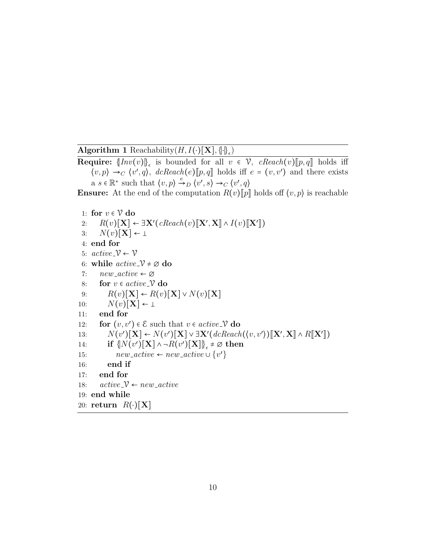<span id="page-9-0"></span>Algorithm 1 Reachability $(H, I(\cdot)[\mathbf{X}], \{\cdot\}_{\epsilon})$ 

**Require:**  $\{Inv(v)\}_\epsilon$  is bounded for all  $v \in V$ , *cReach(v)*[[p, q] holds iff  $\langle v, p \rangle \rightarrow_C \langle v', q \rangle$ ,  $dcReach(e)[p, q]$  holds iff  $e = (v, v')$  and there exists a  $s \in \mathbb{R}^*$  such that  $\langle v, p \rangle \xrightarrow{e} D \langle v', s \rangle \rightarrow_C \langle v', q \rangle$ 

**Ensure:** At the end of the computation  $R(v)[p]$  holds off  $\langle v, p \rangle$  is reachable

```
1: for v \in V do
  2: R(v)[\mathbf{X}] \leftarrow \exists \mathbf{X'}(cReach(v)[\mathbf{X}', \mathbf{X}] \wedge I(v)[\mathbf{X'}])<br>2. N(v)[\mathbf{X}] \leftarrow3: N(v)[\mathbf{X}] \leftarrow \perp4: end for
 5: active \sim \mathcal{V} \leftarrow \mathcal{V}6: while active \mathcal{V} \neq \emptyset do
 7: new\_active \leftarrow \emptyset8: for v \in active \mathcal{V} do
 9: R(v)[\mathbf{X}] \leftarrow R(v)[\mathbf{X}] \vee N(v)[\mathbf{X}]10: N(v)[\mathbf{X}] \leftarrow \perp11: end for
12: for (v, v') \in \mathcal{E} such that v \in active \mathcal{V} do
13: N(v')[\mathbf{X}] \leftarrow N(v')[\mathbf{X}] \vee \exists \mathbf{X'} (d\mathit{clean}( \langle v, v' \rangle) [\mathbf{X'}, \mathbf{X}] \wedge R[\mathbf{X'}])<br>
14. if \mathbb{E}[N(v')[\mathbf{X}] \wedge R(v')[\mathbf{X}]] \neq \emptyset then
14: if \{N(v')[\mathbf{X}]\land \neg R(v')[\mathbf{X}]\}_\epsilon \neq \varnothing then
15: new\_active \leftarrow new\_active \cup \{v'\}16: end if
17: end for
18: active \rightarrow new\_active19: end while
20: return R(\cdot)[\mathbf{X}]
```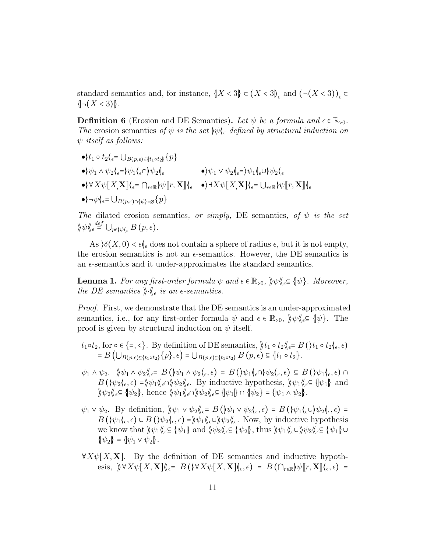standard semantics and, for instance,  $\{X < 3\} \subset (X < 3)_{\epsilon}$  and  $\langle \neg (X < 3) \rangle_{\epsilon} \subset$  $\{\neg(X < 3)\}.$ 

**Definition 6** (Erosion and DE Semantics). Let  $\psi$  be a formula and  $\epsilon \in \mathbb{R}_{>0}$ . The erosion semantics of  $\psi$  is the set  $\psi \in \mathbb{R}$  defined by structural induction on  $\psi$  itself as follows:

 $\bullet$ ) $t_1 \circ t_2$ ( $\epsilon$ =  $\bigcup_{B(p,\epsilon) \subseteq \{t_1 \circ t_2\}} \{p\}$  $\langle \bullet \rangle \psi_1 \wedge \psi_2 \langle \epsilon = \rangle \psi_1 \langle \epsilon \cap \rangle \psi_2 \langle \epsilon \rangle$   $\langle \bullet \rangle \psi_1 \vee \psi_2 \langle \epsilon = \rangle \psi_1 \langle \epsilon \cup \rangle \psi_2 \langle \epsilon \rangle$  $\bullet$  $\forall X\psi[X,\mathbf{X}](\epsilon=\bigcap_{r\in\mathbb{R}}\psi[r,\mathbf{X}](\epsilon-\bullet) \exists X\psi[X,\mathbf{X}](\epsilon=\bigcup_{r\in\mathbb{R}}\psi[r,\mathbf{X}](\epsilon)$  $\bullet$ ) $\neg \psi$ ( $\epsilon$ =  $\bigcup_{B(p,\epsilon) \cap \{\psi\} = \varnothing}$ {p}

The dilated erosion semantics, or simply, DE semantics, of  $\psi$  is the set  $\langle \psi \rangle \langle \zeta \rangle^{\text{def}}_{\epsilon} \cup_{p \in \mathcal{W}} \langle \zeta \rangle_{\epsilon} B(p, \epsilon).$ 

As  $\delta(X, 0) < \epsilon \left\langle \epsilon \right\rangle$  does not contain a sphere of radius  $\epsilon$ , but it is not empty, the erosion semantics is not an  $\epsilon$ -semantics. However, the DE semantics is an  $\epsilon$ -semantics and it under-approximates the standard semantics.

**Lemma 1.** For any first-order formula  $\psi$  and  $\epsilon \in \mathbb{R}_{>0}$ ,  $\|\psi\|_{\epsilon} \subseteq \{\psi\}$ . Moreover, the DE semantics  $\Vert \cdot \Vert_{\epsilon}$  is an  $\epsilon$ -semantics.

Proof. First, we demonstrate that the DE semantics is an under-approximated semantics, i.e., for any first-order formula  $\psi$  and  $\epsilon \in \mathbb{R}_{>0}$ ,  $\psi \in \{\psi\}$ . The proof is given by structural induction on  $\psi$  itself.

- $t_1 \circ t_2$ , for  $\circ \in \{ =, < \}$ . By definition of DE semantics,  $\| t_1 \circ t_2 \|_{\epsilon} = B(\| t_1 \circ t_2 \|_{\epsilon}, \epsilon)$  $= B\left(\bigcup_{B(p,\epsilon)\subseteq \{t_1\circ t_2\}}\{p\},\epsilon\right) = \bigcup_{B(p,\epsilon)\subseteq \{t_1\circ t_2\}} B(p,\epsilon) \subseteq \{t_1\circ t_2\}.$
- $\psi_1 \wedge \psi_2$ .  $\big\|\psi_1 \wedge \psi_2\big\|_{\epsilon} = B\left(\big)\psi_1 \wedge \psi_2\big|_{\epsilon}, \epsilon\right) = B\left(\big)\psi_1\big|_{\epsilon} \cap \big\psi_2\big|_{\epsilon}, \epsilon\right) \subseteq B\left(\big)\psi_1\big|_{\epsilon}, \epsilon\right) \cap$  $B(\psi_2(\epsilon, \epsilon) = \psi_1(\epsilon) \psi_2(\epsilon, \epsilon)$  By inductive hypothesis,  $\psi_1(\epsilon) \in {\psi_1}$  and  $\psi_2\ell_6 \subseteq {\psi_2}$ , hence  $\psi_1\ell_6 \cap {\psi_2} \ell_6 \subseteq {\psi_1} \cap {\psi_2} = {\psi_1 \wedge \psi_2}$ .
- $\psi_1 \vee \psi_2$ . By definition,  $\psi_1 \vee \psi_2 \langle \xi \in B(\psi_1 \vee \psi_2 \langle \xi, \epsilon) = B(\psi_1 \langle \xi \cup \psi_2 \rangle \langle \xi, \epsilon) =$  $B(\psi_1(\epsilon, \epsilon) \cup B(\psi_2(\epsilon, \epsilon) = \rangle \psi_1(\langle \epsilon \cup \rangle \psi_2(\langle \epsilon, \epsilon \rangle \text{ Now, by inductive hypothesis})$ we know that  $\|\psi_1\|_{\epsilon} \subseteq {\|\psi_1\| \text{ and } \|\psi_2\|_{\epsilon}} \subseteq {\|\psi_2\| \text{, thus } \|\psi_1\|_{\epsilon}} \cup {\|\psi_2\|_{\epsilon}} \subseteq {\|\psi_1\| \cup \epsilon}$  $\{\psi_2\} = \{\psi_1 \vee \psi_2\}.$
- $\forall X \psi[X, X]$ . By the definition of DE semantics and inductive hypothesis,  $\forall X \psi[X, \mathbf{X}] \langle \xi \rangle = B(\forall X \psi[X, \mathbf{X}] \langle \xi, \xi \rangle) = B(\bigcap_{r \in \mathbb{R}} \psi[r, \mathbf{X}] \langle \xi, \xi \rangle) =$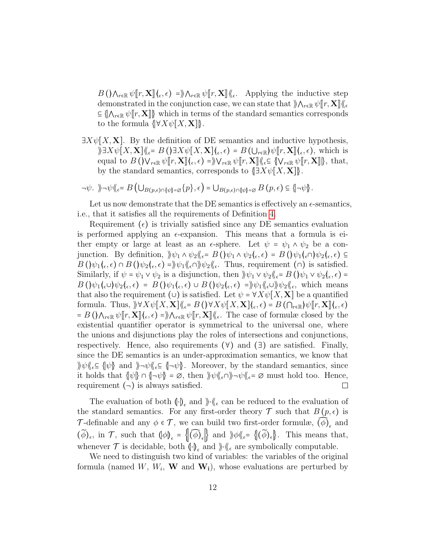$B(\Lambda_{r\in\mathbb{R}}\psi[\![r,\mathbf{X}]\!](\epsilon,\epsilon) = \Lambda_{r\in\mathbb{R}}\psi[\![r,\mathbf{X}]\!](\epsilon)$ . Applying the inductive step demonstrated in the conjunction associated that  $\Lambda_{\Lambda}$ demonstrated in the conjunction case, we can state that  $\Lambda_{r\in\mathbb{R}} \psi(r,\mathbf{X})$  $\subseteq \{\bigwedge_{r\in\mathbb{R}} \psi\big[[r,\mathbf{X}]\big]\}\$  which in terms of the standard semantics corresponds to the formula  $\{\forall X\psi[X,\mathbf{X}]\}.$ 

 $\exists X\psi[X,\mathbf{X}]$ . By the definition of DE semantics and inductive hypothesis,  $\partial \mathbb{E}[X] = \mathbb{E}[X, \mathbf{X}] \times \mathbb{E}[X] = \mathbb{E}[X] \times \mathbb{E}[X]$ <br>
sound to  $\mathbb{E}[X] \times \mathbb{E}[X] = \partial \mathbb{E}[X] = \partial \mathbb{E}[X]$  of  $\mathbb{E}[X] \times \mathbb{E}[X] = \partial \mathbb{E}[X]$  which is equal to  $B(\mathcal{V}_{r\in\mathbb{R}}\psi[[r,\mathbf{X}]]_{\langle\epsilon},\epsilon)=\mathcal{V}_{r\in\mathbb{R}}\psi[[r,\mathbf{X}]]_{\langle\epsilon}\subseteq \{\mathcal{V}_{r\in\mathbb{R}}\psi[[r,\mathbf{X}]]\},\}$ , that, by the standard semantics, corresponds to  $\exists X \psi[X, \mathbf{X}]\$ .

$$
\neg \psi. \quad \text{and} \quad \psi \langle \xi \in B \left( \bigcup_{B(p,\epsilon) \cap \{\psi\} = \varnothing} \{p\}, \epsilon \right) = \bigcup_{B(p,\epsilon) \cap \{\psi\} = \varnothing} B(p,\epsilon) \subseteq \{\neg \psi\}.
$$

Let us now demonstrate that the DE semantics is effectively an  $\epsilon$ -semantics, i.e., that it satisfies all the requirements of Definition [4.](#page-7-2)

Requirement  $(\epsilon)$  is trivially satisfied since any DE semantics evaluation is performed applying an  $\epsilon$ -expansion. This means that a formula is either empty or large at least as an  $\epsilon$ -sphere. Let  $\psi = \psi_1 \wedge \psi_2$  be a conjunction. By definition,  $\psi_1 \wedge \psi_2 \langle \! \langle \epsilon = B(\psi_1 \wedge \psi_2 \langle \epsilon, \epsilon \rangle) = B(\psi_1 \langle \epsilon \wedge \psi_2 \langle \epsilon, \epsilon \rangle) \subseteq$  $B(\psi_1(\epsilon,\epsilon) \cap B(\psi_2(\epsilon,\epsilon)) = \psi_1(\epsilon) \psi_2(\epsilon,\epsilon)$ . Thus, requirement  $(\cap)$  is satisfied. Similarly, if  $\psi = \psi_1 \vee \psi_2$  is a disjunction, then  $\psi_1 \vee \psi_2 \psi_6 = B(\psi_1 \vee \psi_2 \psi_6, \epsilon) =$  $B(\psi_1(\epsilon\cup)\psi_2(\epsilon,\epsilon) = B(\psi_1(\epsilon,\epsilon) \cup B(\psi_2(\epsilon,\epsilon) = \psi_1(\epsilon\cup)\psi_2(\epsilon, \text{ which means})$ that also the requirement (∪) is satisfied. Let  $\psi = \forall X \psi[X, \mathbf{X}]$  be a quantified formula. Thus,  $\mathcal{Y} \forall X \psi[X, \mathbf{X}] \langle \xi \rangle = B(\mathcal{Y} \times \mathcal{Y}[X, \mathbf{X}] \langle \xi, \xi \rangle) = B(\bigcap_{r \in \mathbb{R}} \mathcal{Y} \psi[r, \mathbf{X}]\langle \xi, \xi \rangle)$  $= B(\lambda_{r\in\mathbb{R}} \psi[\![r, \mathbf{X}]\!] \langle_{\epsilon}, \epsilon) = \lambda_{r\in\mathbb{R}} \psi[\![r, \mathbf{X}]\!] \langle_{\epsilon}$ . The case of formulæ closed by the existential quantifier eperator is symmetrical to the universal one, where existential quantifier operator is symmetrical to the universal one, where the unions and disjunctions play the roles of intersections and conjunctions, respectively. Hence, also requirements  $(\forall)$  and  $(\exists)$  are satisfied. Finally, since the DE semantics is an under-approximation semantics, we know that  $\|\psi\|_{\epsilon} \subseteq {\psi}$  and  $\|\neg \psi\|_{\epsilon} \subseteq {\neg \psi}$ . Moreover, by the standard semantics, since it holds that  $\{\psi\} \cap {\{\neg \psi\}} = \emptyset$ , then  $\psi \langle {\{\epsilon} \cap {\}\rangle} \neg \psi \langle {\{\epsilon} = \emptyset \rangle}$  must hold too. Hence, requirement  $(\neg)$  is always satisfied.  $\Box$ 

The evaluation of both  $\langle \cdot \rangle_{\epsilon}$  and  $\rangle_{\ell} \langle \langle \cdot \rangle_{\epsilon}$  can be reduced to the evaluation of the standard semantics. For any first-order theory  $\mathcal T$  such that  $B(p,\epsilon)$  is T-definable and any  $\phi \in \mathcal{T}$ , we can build two first-order formulæ,  $\widehat{(\phi)}_{\epsilon}$  and  $(\widetilde{\phi})_{\epsilon}$ , in  $\mathcal{T}$ , such that  $(\phi)_{\epsilon} = \{(\widetilde{\phi})_{\epsilon}\}$  and  $\phi \otimes_{\epsilon} = \{(\widetilde{\phi})_{\epsilon}\}$ . This means that, whenever  $\mathcal T$  is decidable, both  $(\cdot)_{\epsilon}$  and  $\n\}\cdot\langle\!\langle \epsilon \rangle$  are symbolically computable.

We need to distinguish two kind of variables: the variables of the original formula (named  $W, W_i, W$  and  $W_i$ ), whose evaluations are perturbed by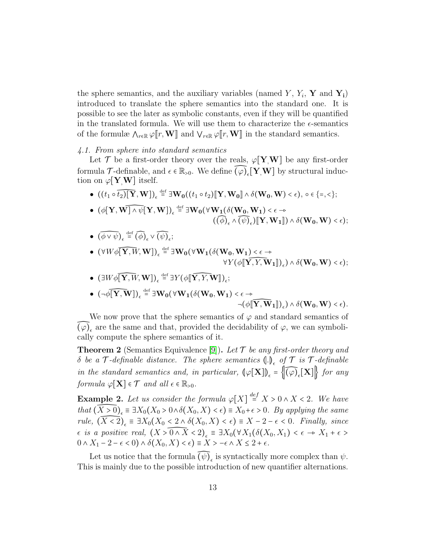the sphere semantics, and the auxiliary variables (named Y,  $Y_i$ , Y and Y<sub>i</sub>) introduced to translate the sphere semantics into the standard one. It is possible to see the later as symbolic constants, even if they will be quantified in the translated formula. We will use them to characterize the  $\epsilon$ -semantics of the formulæ  $\Lambda_{r\in\mathbb{R}} \varphi[[r,\mathbf{W}]]$  and  $\mathsf{V}_{r\in\mathbb{R}} \varphi[[r,\mathbf{W}]]$  in the standard semantics.

# 4.1. From sphere into standard semantics

Let T be a first-order theory over the reals,  $\varphi$ [Y<sub>,</sub>W] be any first-order formula  $\mathcal{T}$ -definable, and  $\epsilon \in \mathbb{R}_{>0}$ . We define  $\widehat{(\varphi)}_{\epsilon}[\mathbf{Y},\mathbf{W}]$  by structural induction on  $\varphi$ [**Y**,**W**] itself.

- $((t_1 \circ \widehat{t_2})[\mathbf{Y}, \mathbf{W}])_{\epsilon} \stackrel{\text{def}}{=} \exists \mathbf{W_0}((t_1 \circ t_2) [\![\mathbf{Y}, \mathbf{W_0}]\!] \wedge \delta(\mathbf{W_0}, \mathbf{W}) \langle \epsilon), \; \mathbf{0} \in \{\mathbf{0}, \mathbf{0}\}$
- $\bullet$   $(\phi[\mathbf{Y}, \mathbf{W}]\wedge \psi[\mathbf{Y}, \mathbf{W}])_{\epsilon} \stackrel{\text{def}}{=} \exists \mathbf{W_0}(\forall \mathbf{W_1}(\delta(\mathbf{W_0}, \mathbf{W_1}) < \epsilon \rightarrow \epsilon)$  $((\widehat{\phi})_{\epsilon} \wedge \widehat{(\psi)}_{\epsilon}) \llbracket \mathbf{Y}, \mathbf{W}_{1} \rrbracket) \wedge \delta(\mathbf{W}_{0}, \mathbf{W}) < \epsilon$ );
- $(\widehat{\phi \vee \psi})_{\epsilon} \stackrel{\text{def}}{=} (\widehat{\phi})_{\epsilon} \vee (\widehat{\psi})_{\epsilon};$
- $\bullet$   $(\forall W \phi[\overline{Y, W}, W])_{\epsilon} \stackrel{\text{def}}{=} \exists W_0(\forall W_1(\delta(W_0, W_1) \leq \epsilon \rightarrow$  $\forall Y (\phi \llbracket \widehat{\mathbf{Y}, Y, \mathbf{W}}_1 \rrbracket)_{\epsilon}) \wedge \delta(\mathbf{W_0}, \mathbf{W}) < \epsilon$ );
- $(\exists W \phi \overline{[\mathbf{Y}, W]}, \mathbf{W}])_{\epsilon} \stackrel{\text{def}}{=} \exists Y (\phi \llbracket \widehat{\mathbf{Y}, Y}, \mathbf{W} \rrbracket)_{\epsilon};$
- $\bullet \ \ (\neg \phi \widehat{[\![\mathbf{Y},\mathbf{W}]\!]}_{\epsilon} \mathop = \limits^{\mathrm{def}} \exists \mathbf{W_0}(\forall \mathbf{W_1}(\delta(\mathbf{W_0},\mathbf{W_1}) < \epsilon \rightarrow \epsilon)$  $\neg(\phi[\widehat{\mathbf{Y}, \mathbf{W}}_1])_{\epsilon}) \wedge \delta(\mathbf{W_0}, \mathbf{W}) < \epsilon$ ).

We now prove that the sphere semantics of  $\varphi$  and standard semantics of  $\widehat{(\varphi)}_{\epsilon}$  are the same and that, provided the decidability of  $\varphi$ , we can symbolically compute the sphere semantics of it.

**Theorem 2** (Semantics Equivalence [\[9\]](#page-25-1)). Let  $\mathcal T$  be any first-order theory and  $\delta$  be a  $\mathcal T$ -definable distance. The sphere semantics  $\left(\cdot\right)_\epsilon$  of  $\mathcal T$  is  $\mathcal T$ -definable in the standard semantics and, in particular,  $\left(\varphi[\mathbf{X}]\right)_{\epsilon} = \left\{\widehat{(\varphi)}_{\epsilon}[\mathbf{X}]\right\}$  for any formula  $\varphi[\mathbf{X}] \in \mathcal{T}$  and all  $\epsilon \in \mathbb{R}_{>0}$ .

**Example 2.** Let us consider the formula  $\varphi[X] \stackrel{def}{=} X > 0 \wedge X < 2$ . We have that  $(\widehat{X>0})_{\epsilon} \equiv \exists X_0(X_0 > 0 \land \delta(X_0, X) < \epsilon) \equiv X_0 + \epsilon > 0$ . By applying the same rule,  $(\widehat{X} \leq 2)_{\epsilon} \equiv \exists X_0 (X_0 < 2 \land \delta(X_0, X) < \epsilon) \equiv X - 2 - \epsilon < 0$ . Finally, since  $\epsilon$  is a positive real,  $(X > 0 \wedge X < 2)_{\epsilon} \equiv \exists X_0(\forall X_1(\delta(X_0, X_1) < \epsilon \rightarrow X_1 + \epsilon > 0 \wedge Y \leq 2)$  $0 \wedge X_1 - 2 - \epsilon < 0$ )  $\wedge \delta(X_0, X) < \epsilon$ ) =  $X > -\epsilon \wedge X \leq 2 + \epsilon$ .

Let us notice that the formula  $\widehat{(\psi)}_{\epsilon}$  is syntactically more complex than  $\psi$ . This is mainly due to the possible introduction of new quantifier alternations.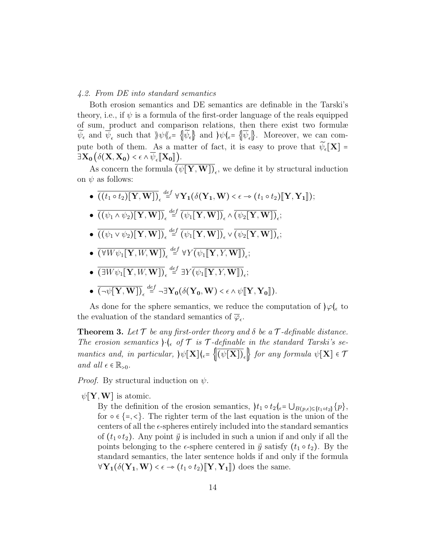## 4.2. From DE into standard semantics

Both erosion semantics and DE semantics are definable in the Tarski's theory, i.e., if  $\psi$  is a formula of the first-order language of the reals equipped of sum, product and comparison relations, then there exist two formulæ  $\widetilde{\psi}_{\epsilon}$  and  $\overline{\psi}_{\epsilon}$  such that  $\psi \ll \epsilon = \{\psi_{\epsilon}\}\$  and  $\psi \ll \epsilon = \{\overline{\psi}_{\epsilon}\}\$ . Moreover, we can compute both of them. As a matter of fact, it is easy to prove that  $\widetilde{\psi}_{\epsilon}[\mathbf{X}]$  =  $\exists \mathbf{X_0} \big( \delta(\mathbf{X}, \mathbf{X_0}) < \epsilon \wedge \psi_{\epsilon} \llbracket \mathbf{X_0} \rrbracket \big).$ 

As concern the formula  $(\psi[\mathbf{Y}, \mathbf{W}])_{\epsilon}$ , we define it by structural induction on  $\psi$  as follows:

- $\bullet \left( \overline{(t_1 \circ t_2)[\mathbf{Y}, \mathbf{W}]} \right)_{\epsilon} \stackrel{def}{=} \forall \mathbf{Y_1}(\delta(\mathbf{Y_1}, \mathbf{W}) < \epsilon \rightarrow (t_1 \circ t_2)[\mathbf{Y}, \mathbf{Y_1}]);$
- $\bullet \; \overline{((\psi_1 \wedge \psi_2)[\textbf{Y},\textbf{W}])}_\epsilon \stackrel{def}{=} \overline{(\psi_1[\textbf{Y},\textbf{W}])}_\epsilon \wedge \overline{(\psi_2[\textbf{Y},\textbf{W}])}_\epsilon;$
- $\bullet \; \overline{((\psi_1 \vee \psi_2)[\textbf{Y}, \textbf{W}])}_\epsilon \stackrel{def}{=} \overline{(\psi_1[\textbf{Y}, \textbf{W}])}_\epsilon \vee \overline{(\psi_2[\textbf{Y}, \textbf{W}])}_\epsilon;$
- $\bullet \ \overline{(\forall W \psi_1[\mathbf{Y}, W, \mathbf{W}])}_\epsilon \stackrel{def}{=} \forall Y \overline{(\psi_1[\![\mathbf{Y}, Y, \mathbf{W}]\!])}_\epsilon;$
- $\bullet \ \overline{(\exists W \psi_1[\mathbf{Y}, W, \mathbf{W}])}_\epsilon \stackrel{def}{=} \exists Y \overline{(\psi_1[\![\mathbf{Y}, Y, \mathbf{W}]\!])}_\epsilon;$
- $\bullet \overline{(\neg \psi[\mathbf{Y}, \mathbf{W}])}_\epsilon \stackrel{def}{=} \neg \exists \mathbf{Y_0}(\delta(\mathbf{Y_0}, \mathbf{W}) < \epsilon \land \psi[\![\mathbf{Y}, \mathbf{Y_0}]\!]).$

As done for the sphere semantics, we reduce the computation of  $\varphi \phi_{\epsilon}$  to the evaluation of the standard semantics of  $\overline{\varphi}_{\epsilon}$ .

**Theorem 3.** Let  $\mathcal T$  be any first-order theory and  $\delta$  be a  $\mathcal T$ -definable distance. The erosion semantics  $\cdot \cdot \cdot \cdot$  of  $\tau$  is  $\tau$ -definable in the standard Tarski's semantics and, in particular,  $\psi[\mathbf{X}](\mathcal{E} = ||(\psi[\mathbf{X}])_{\mathcal{E}}||$  for any formula  $\psi[\mathbf{X}] \in \mathcal{T}$ and all  $\epsilon \in \mathbb{R}_{>0}$ .

*Proof.* By structural induction on  $\psi$ .

 $\psi[\mathbf{Y},\mathbf{W}]$  is atomic.

By the definition of the erosion semantics,  $\{t_1 \circ t_2\}_{\epsilon} = \bigcup_{B(p,\epsilon) \subseteq \{t_1 \circ t_2\}} \{p\},\$ for  $\circ \in \{ = , \le \}$ . The righter term of the last equation is the union of the centers of all the  $\epsilon$ -spheres entirely included into the standard semantics of  $(t_1 \circ t_2)$ . Any point  $\vec{y}$  is included in such a union if and only if all the points belonging to the  $\epsilon$ -sphere centered in  $\vec{y}$  satisfy  $(t_1 \circ t_2)$ . By the standard semantics, the later sentence holds if and only if the formula  $\forall \mathbf{Y}_1(\delta(\mathbf{Y}_1, \mathbf{W}) < \epsilon \rightarrow (t_1 \circ t_2)[\![\mathbf{Y}, \mathbf{Y}_1]\!])$  does the same.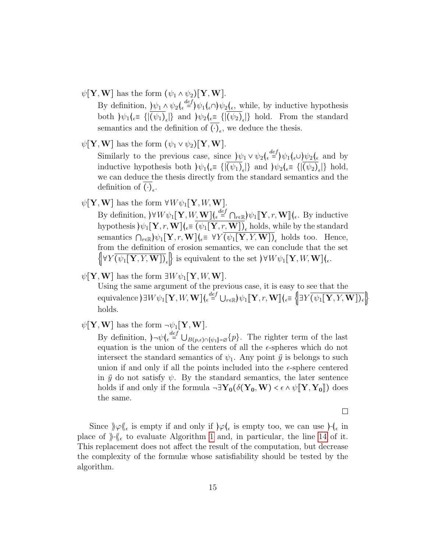$\psi[\mathbf{Y}, \mathbf{W}]$  has the form  $(\psi_1 \wedge \psi_2)[\mathbf{Y}, \mathbf{W}].$ 

By definition,  $\psi_1 \wedge \psi_2 \left( \epsilon \right) = \psi_1 \left( \epsilon \right) \psi_2 \left( \epsilon \right)$ , while, by inductive hypothesis both  $\psi_1(\varepsilon) = \{ |(\psi_1)_{\varepsilon}| \}$  and  $\psi_2(\varepsilon) = \{ |(\psi_2)_{\varepsilon}| \}$  hold. From the standard semantics and the definition of  $(\cdot)_{\epsilon}$ , we deduce the thesis.

- $\psi[\mathbf{Y}, \mathbf{W}]$  has the form  $(\psi_1 \vee \psi_2)[\mathbf{Y}, \mathbf{W}].$ Similarly to the previous case, since  $\psi_1 \vee \psi_2 \left( \epsilon \in \mathcal{H} \right)$ inductive hypothesis both  $\psi_1$ ( $\in$  {|( $\psi_1$ )<sub> $\in$ </sub>|} and  $\psi_2$ ( $\in$  = {|( $\psi_2$ )<sub> $\in$ </sub>|} hold, we can deduce the thesis directly from the standard semantics and the definition of  $(\cdot)_{\epsilon}$ .
- $\psi[\mathbf{Y}, \mathbf{W}]$  has the form  $\forall W \psi_1[\mathbf{Y}, W, \mathbf{W}]$ .

By definition,  $\forall W \psi_1[\mathbf{Y}, W, \mathbf{W}](\epsilon^{\text{def}} = \bigcap_{r \in \mathbb{R}} \psi_1[\mathbf{Y}, r, \mathbf{W}](\epsilon)$ . By inductive hypothesis  $\mathcal{W}_1[\mathbf{Y}, r, \mathbf{W}]\vert_{\epsilon} \equiv (\psi_1[\mathbf{Y}, r, \mathbf{W}])_{\epsilon}$  holds, while by the standard semantics  $\bigcap_{r\in\mathbb{R}}\bigl|\psi_1[\mathbf{Y},r,\mathbf{W}]\bigr|_{\epsilon} \equiv \forall Y \bigl(\psi_1[\mathbf{Y},Y,\mathbf{W}]\bigr)_{\epsilon}$  holds too. Hence, from the definition of erosion semantics, we can conclude that the set  $\{\forall Y (\psi_1[\mathbf{Y}, Y, \mathbf{W}])_{\epsilon}\}\$ is equivalent to the set  $\forall W \psi_1[\mathbf{Y}, W, \mathbf{W}]\}_{\epsilon}.$ 

 $\psi$ [Y,W] has the form  $\exists W \psi_1[Y, W, W]$ .

Using the same argument of the previous case, it is easy to see that the equivalence  $\big\{\exists W\psi_1[\mathbf{Y},W,\mathbf{W}]\big\}_{\epsilon} \stackrel{def}{=} \bigcup_{r\in\mathbb{R}}\big\{\psi_1[\![\mathbf{Y},r,\mathbf{W}]\!]\big\}_{\epsilon} \equiv \Big\{\big\{\exists Y\overline{\big(\psi_1[\mathbf{Y},Y,\mathbf{W}]\big)}_{\epsilon}\Big\}$ holds.

 $\psi[\mathbf{Y}, \mathbf{W}]$  has the form  $\neg \psi_1[\mathbf{Y}, \mathbf{W}]$ .

By definition,  $\rho \neg \psi \left( \epsilon \right) \equiv \bigcup_{B(p,\epsilon) \cap {\psi_1} = \varnothing} \{p\}.$  The righter term of the last equation is the union of the centers of all the  $\epsilon$ -spheres which do not intersect the standard semantics of  $\psi_1$ . Any point  $\vec{y}$  is belongs to such union if and only if all the points included into the  $\epsilon$ -sphere centered in  $\vec{y}$  do not satisfy  $\psi$ . By the standard semantics, the later sentence holds if and only if the formula  $\neg \exists Y_0(\delta(Y_0, W) < \epsilon \wedge \psi \| Y, Y_0 \|)$  does the same.

 $\Box$ 

Since  $\varphi \otimes_{\epsilon}$  is empty if and only if  $\rho \otimes_{\epsilon}$  is empty too, we can use  $\cdot \cdot_{\epsilon}$  in place of  $\|\cdot\|_{\epsilon}$  to evaluate Algorithm [1](#page-9-0) and, in particular, the line [14](#page-9-1) of it. This replacement does not affect the result of the computation, but decrease the complexity of the formulæ whose satisfiability should be tested by the algorithm.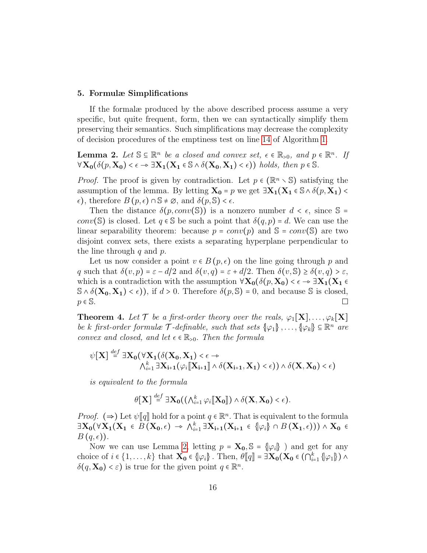#### <span id="page-15-0"></span>5. Formulæ Simplifications

If the formalæ produced by the above described process assume a very specific, but quite frequent, form, then we can syntactically simplify them preserving their semantics. Such simplifications may decrease the complexity of decision procedures of the emptiness test on line [14](#page-9-1) of Algorithm [1.](#page-9-0)

<span id="page-15-1"></span>**Lemma 2.** Let  $\mathbb{S} \subseteq \mathbb{R}^n$  be a closed and convex set,  $\epsilon \in \mathbb{R}_{>0}$ , and  $p \in \mathbb{R}^n$ . If  $\forall X_0(\delta(p, X_0) < \epsilon \rightarrow \exists X_1(X_1 \in \mathbb{S} \land \delta(X_0, X_1) < \epsilon)$ ) holds, then  $p \in \mathbb{S}$ .

*Proof.* The proof is given by contradiction. Let  $p \in (\mathbb{R}^n \setminus \mathbb{S})$  satisfying the assumption of the lemma. By letting  $X_0 = p$  we get  $\exists X_1(X_1 \in \mathbb{S} \land \delta(p, X_1)$  $\epsilon$ ), therefore  $B(p, \epsilon) \cap \mathbb{S} \neq \emptyset$ , and  $\delta(p, \mathbb{S}) < \epsilon$ .

Then the distance  $\delta(p, conv(\mathbb{S}))$  is a nonzero number  $d < \epsilon$ , since  $\mathbb{S} =$ conv(S) is closed. Let  $q \in S$  be such a point that  $\delta(q, p) = d$ . We can use the linear separability theorem: because  $p = conv(p)$  and  $\mathbb{S} = conv(\mathbb{S})$  are two disjoint convex sets, there exists a separating hyperplane perpendicular to the line through  $q$  and  $p$ .

Let us now consider a point  $v \in B(p, \epsilon)$  on the line going through p and q such that  $\delta(v, p) = \varepsilon - d/2$  and  $\delta(v, q) = \varepsilon + d/2$ . Then  $\delta(v, \mathbb{S}) \geq \delta(v, q) > \varepsilon$ , which is a contradiction with the assumption  $\forall X_0(\delta(p, X_0) < \epsilon \to \exists X_1(X_1 \epsilon$  $\mathcal{S} \wedge \delta(\mathbf{X_0}, \mathbf{X_1}) < \epsilon$ ), if  $d > 0$ . Therefore  $\delta(p, \mathbb{S}) = 0$ , and because S is closed,  $p \in \mathbb{S}$ .  $\Box$ 

**Theorem 4.** Let  $\mathcal{T}$  be a first-order theory over the reals,  $\varphi_1[\mathbf{X}], \ldots, \varphi_k[\mathbf{X}]$ be k first-order formulæ  $\mathcal T$ -definable, such that sets  $\{\varphi_1\}, \ldots, \{\varphi_k\} \subseteq \mathbb{R}^n$  are convex and closed, and let  $\epsilon \in \mathbb{R}_{>0}$ . Then the formula

$$
\psi[\mathbf{X}] \stackrel{def}{=} \exists \mathbf{X_0} (\forall \mathbf{X_1} (\delta(\mathbf{X_0}, \mathbf{X_1}) < \epsilon \rightarrow \land \land^k_{i=1} \exists \mathbf{X_{i+1}} (\varphi_i [\![\mathbf{X_{i+1}}]\!] \land \delta(\mathbf{X_{i+1}}, \mathbf{X_1}) < \epsilon)) \land \delta(\mathbf{X}, \mathbf{X_0}) < \epsilon)
$$

is equivalent to the formula

$$
\theta[\mathbf{X}] \stackrel{def}{=} \exists \mathbf{X_0}((\bigwedge_{i=1}^k \varphi_i [\![\mathbf{X_0}]\!]) \wedge \delta(\mathbf{X}, \mathbf{X_0}) < \epsilon).
$$

*Proof.* ( $\Rightarrow$ ) Let  $\psi$  ||q|| hold for a point  $q \in \mathbb{R}^n$ . That is equivalent to the formula  $\exists X_0(\forall X_1(X_1 \in B(X_0, \epsilon) \rightarrow \wedge_{i=1}^k \exists X_{i+1}(X_{i+1} \in {\varphi_i} \cap B(X_1, \epsilon))) \wedge X_0 \in B(\alpha, \epsilon)$  $B(q,\epsilon)$ ).

Now we can use Lemma [2,](#page-15-1) letting  $p = \mathbf{X_0}, \mathbb{S} = \{\varphi_i\}$  ) and get for any choice of  $i \in \{1, ..., k\}$  that  $\mathbf{X_0} \in \{\varphi_i\}$ . Then,  $\theta[\![q]\!] = \exists \mathbf{X_0} (\mathbf{X_0} \in (\bigcap_{i=1}^k {\varphi_i}]) \wedge$ <br> $\delta(q, \mathbf{X}) \geq \epsilon)$  is true for the given point  $q \in \mathbb{R}^n$  $\delta(q, \mathbf{X_0}) < \varepsilon$ ) is true for the given point  $q \in \mathbb{R}^n$ .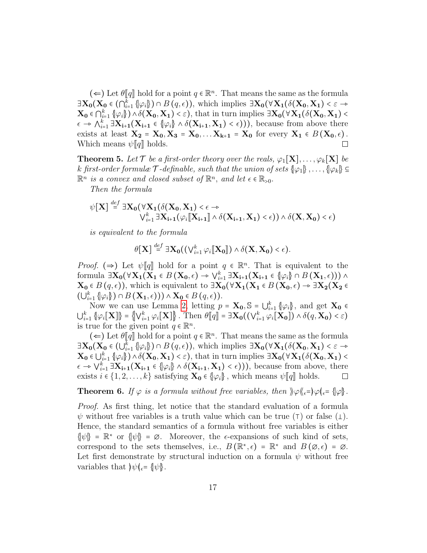$(\Leftarrow)$  Let  $\theta[\![q]\!]$  hold for a point  $q \in \mathbb{R}^n$ . That means the same as the formula  $\exists \mathbf{X_0}(\mathbf{X_0} \in (\bigcap_{i=1}^k {\varphi_i \} ) \cap B(q, \epsilon)),$  which implies  $\exists \mathbf{X_0}(\forall \mathbf{X_1}(\delta(\mathbf{X_0}, \mathbf{X_1}) < \epsilon \rightarrow \mathbf{X_0}(\delta(\mathbf{X_0}, \mathbf{X_1}) < \epsilon))$  $\mathbf{X_0} \in \bigcap_{i=1}^k \{ \varphi_i \} \big) \wedge \delta(\mathbf{X_0}, \mathbf{X_1}) < \varepsilon$ ), that in turn implies  $\exists \mathbf{X_0} (\forall \mathbf{X_1} (\delta(\mathbf{X_0}, \mathbf{X_1}) < \varepsilon)$  $\epsilon \to \bigwedge_{i=1}^k \exists \mathbf{X}_{i+1}(\mathbf{X}_{i+1} \in {\varphi_i} \land \delta(\mathbf{X}_{i+1}, \mathbf{X}_1) < \epsilon))$ , because from above there<br>exists at losst  $\mathbf{X} = \mathbf{X} \times \mathbf{X} = \mathbf{X} \times \mathbf{X}$  for every  $\mathbf{X} \in B(\mathbf{X}, \epsilon)$ exists at least  $X_2 = X_0, X_3 = X_0, \ldots X_{k+1} = X_0$  for every  $X_1 \in B(X_0, \epsilon)$ . Which means  $\psi[[q]]$  holds.  $\Box$ 

**Theorem 5.** Let  $\mathcal{T}$  be a first-order theory over the reals,  $\varphi_1[\mathbf{X}], \ldots, \varphi_k[\mathbf{X}]$  be k first-order formulæ  $\mathcal{T}$ -definable, such that the union of sets  $\{\varphi_1\}, \ldots, \{\varphi_k\} \subseteq$  $\mathbb{R}^n$  is a convex and closed subset of  $\mathbb{R}^n$ , and let  $\epsilon \in \mathbb{R}_{>0}$ .

Then the formula

$$
\psi[\mathbf{X}] \stackrel{\text{def}}{=} \exists \mathbf{X}_0 (\forall \mathbf{X}_1(\delta(\mathbf{X}_0, \mathbf{X}_1) < \epsilon \rightarrow \\ \vee_{i=1}^k \exists \mathbf{X}_{i+1}(\varphi_i[\![\mathbf{X}_{i+1}]\!]\land \delta(\mathbf{X}_{i+1}, \mathbf{X}_1) < \epsilon)) \land \delta(\mathbf{X}, \mathbf{X}_0) < \epsilon)
$$

is equivalent to the formula

$$
\theta[\mathbf{X}] \stackrel{def}{=} \exists \mathbf{X_0}((\bigvee_{i=1}^k \varphi_i [\![\mathbf{X_0}]\!]) \wedge \delta(\mathbf{X}, \mathbf{X_0}) < \epsilon).
$$

*Proof.* ( $\Rightarrow$ ) Let  $\psi[\![q]\!]$  hold for a point  $q \in \mathbb{R}^n$ . That is equivalent to the formula  $\exists X_0 (\forall X_1 (X_1 \in B(X_0, \epsilon) \rightarrow \bigvee_{i=1}^k \exists X_{i+1}(X_{i+1} \in {\varphi_i} \cap B(X_1, \epsilon))) \land$ <br>  $X \in B(\alpha, \epsilon)$ , which is equivalent to  $\exists X (\forall X (X \in B(X, \epsilon)) \land \exists X (X \in A)$  $\mathbf{X_0} \in B(q, \epsilon)$ , which is equivalent to  $\exists \mathbf{X_0} (\forall \mathbf{X_1} (\mathbf{X_1} \in B(\mathbf{X_0}, \epsilon) \rightarrow \exists \mathbf{X_2} (\mathbf{X_2} \in B))$  $(\bigcup_{i=1}^k \{\varphi_i\}) \cap B(\mathbf{X}_1, \epsilon))$ )  $\wedge \mathbf{X}_0 \in B(q, \epsilon)$ ).

Now we can use Lemma [2,](#page-15-1) letting  $p = \mathbf{X_0}$ ,  $\mathbb{S} = \bigcup_{i=1}^k {\varphi_i}$ , and get  $\mathbf{X_0}$  $\bigcup_{i=1}^k \left\{ \varphi_i[\mathbf{X}] \right\} = \left\{ \bigvee_{i=1}^k \varphi_i[\mathbf{X}] \right\}.$  Then  $\theta[\![q]\!] = \exists \mathbf{X_0} \big( \big( \vee_{i=1}^k \varphi_i[\mathbf{X_0}] \big) \wedge \delta(q, \mathbf{X_0}) < \varepsilon \big)$ is true for the given point  $q \in \mathbb{R}^n$ .

 $(\Leftarrow)$  Let  $\theta[\![q]\!]$  hold for a point  $q \in \mathbb{R}^n$ . That means the same as the formula  $\exists \mathbf{X_0} (\mathbf{X_0} \in (\bigcup_{i=1}^k \{\varphi_i\}) \cap B(q, \epsilon)),$  which implies  $\exists \mathbf{X_0} (\forall \mathbf{X_1} (\delta(\mathbf{X_0}, \mathbf{X_1}) < \epsilon \rightarrow \mathbf{X_0}) \cup \mathbb{R}$  $\mathbf{X_0} \in \bigcup_{i=1}^k \{ \varphi_i \} \} \wedge \delta(\mathbf{X_0}, \mathbf{X_1}) < \varepsilon$ ), that in turn implies  $\exists \mathbf{X_0} (\forall \mathbf{X_1}(\delta(\mathbf{X_0}, \mathbf{X_1}) < \varepsilon)$  $\epsilon \to \bigvee_{i=1}^k \exists \mathbf{X}_{i+1}(\mathbf{X}_{i+1} \in {\varphi_i} \wedge \delta(\mathbf{X}_{i+1}, \mathbf{X}_1) < \epsilon))$ , because from above, there exists  $i \in \{1, 2, ..., k\}$  satisfying  $\mathbf{X_0} \in \{\varphi_i\}$ , which means  $\psi[\![q]\!]$  holds.  $\Box$ 

**Theorem 6.** If  $\varphi$  is a formula without free variables, then  $\varphi \langle \xi_{\epsilon} = \varphi | \xi_{\epsilon} = \varphi |$ .

Proof. As first thing, let notice that the standard evaluation of a formula  $\psi$  without free variables is a truth value which can be true ( $\tau$ ) or false ( $\bot$ ). Hence, the standard semantics of a formula without free variables is either  $\{\psi\} = \mathbb{R}^*$  or  $\{\psi\} = \emptyset$ . Moreover, the  $\epsilon$ -expansions of such kind of sets, correspond to the sets themselves, i.e.,  $B(\mathbb{R}^*, \epsilon) = \mathbb{R}^*$  and  $B(\emptyset, \epsilon) = \emptyset$ . Let first demonstrate by structural induction on a formula  $\psi$  without free variables that  $\psi|_{\epsilon} = \psi|$ .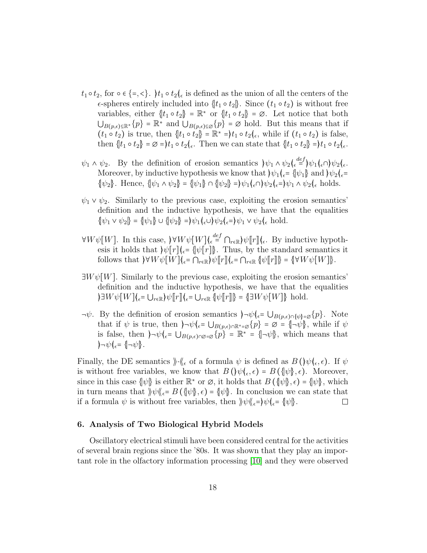- $t_1 \circ t_2$ , for  $\circ \in \{ =, \leq \}$ .  $\}t_1 \circ t_2\|_{\epsilon}$  is defined as the union of all the centers of the  $\epsilon$ -spheres entirely included into  $\{t_1 \circ t_2\}$ . Since  $(t_1 \circ t_2)$  is without free variables, either  $\{t_1 \circ t_2\} = \mathbb{R}^*$  or  $\{t_1 \circ t_2\} = \emptyset$ . Let notice that both  $\bigcup_{B(p,\epsilon)\subseteq\mathbb{R}^*} \{p\} = \mathbb{R}^*$  and  $\bigcup_{B(p,\epsilon)\subseteq\mathcal{Q}} \{p\} = \emptyset$  hold. But this means that if  $(t_1 \circ t_2)$  is true, then  $\{t_1 \circ t_2\} = \mathbb{R}^* = t_1 \circ t_2$ , while if  $(t_1 \circ t_2)$  is false, then  $\{t_1 \circ t_2\} = \emptyset = t_1 \circ t_2\langle \_ \epsilon$ . Then we can state that  $\{t_1 \circ t_2\} = t_1 \circ t_2\langle \_ \epsilon$ .
- $\psi_1 \wedge \psi_2$ . By the definition of erosion semantics  $\psi_1 \wedge \psi_2 \left( \epsilon \epsilon^{\frac{def}{}} \right) \psi_1 \left( \epsilon \wedge \epsilon \right) \psi_2 \left( \epsilon \epsilon \epsilon^{\frac{def}{}} \right)$ Moreover, by inductive hypothesis we know that  $|\psi_1|_{\epsilon} = |\psi_1|$  and  $|\psi_2|_{\epsilon} =$  $\{\psi_2\}.$  Hence,  $\{\psi_1 \wedge \psi_2\} = \{\psi_1\} \cap \{\psi_2\} = \psi_1(\epsilon \cap \psi_2(\epsilon = \psi_1 \wedge \psi_2(\epsilon \text{ holds.})$
- $\psi_1 \vee \psi_2$ . Similarly to the previous case, exploiting the erosion semantics' definition and the inductive hypothesis, we have that the equalities  $\{\psi_1 \vee \psi_2\} = \{\psi_1\} \cup \{\psi_2\} = \psi_1(\epsilon \cup \psi_2(\epsilon = \psi_1 \vee \psi_2(\epsilon \text{ hold})).$
- $\forall W \psi[W]$ . In this case,  $\forall W \psi[W] \left( \epsilon \right) \in \bigcap_{r \in \mathbb{R}} \psi[r] \left( \epsilon$ . By inductive hypoth-<br>over it holds that  $\psi[r] \left( \epsilon \psi[r] \right)$ . Thus, by the standard somewise it esis it holds that  $\psi[r]$ <sub> $\in$ </sub>  $\psi[r]$ . Thus, by the standard semantics it follows that  $\forall W \psi[W](\epsilon = \bigcap_{r \in \mathbb{R}} \psi[r](\epsilon = \bigcap_{r \in \mathbb{R}} \psi[r](r)) = {\forall W \psi[W](\epsilon)}$ .
- $\exists W \psi[W]$ . Similarly to the previous case, exploiting the erosion semantics' definition and the inductive hypothesis, we have that the equalities  $\partial \exists W \psi[W](\epsilon = \bigcup_{r \in \mathbb{R}} \psi[r](\epsilon = \bigcup_{r \in \mathbb{R}} \psi[r](r)) = {\exists W \psi[W](\epsilon)}$  hold.
- $\neg \psi$ . By the definition of erosion semantics  $\neg \psi$   $\in \bigcup_{B(p,\epsilon)\cap \{\psi\}=\emptyset} \{p\}$ . Note that if  $\psi$  is true, then  $\neg \neg \psi$  $\n\leftarrow \bigcup_{B(p,\epsilon) \cap \mathbb{R}^* = \varnothing} \{p\} = \varnothing = \{\neg \psi\}$ , while if  $\psi$ is false, then  $\rho \rightarrow \psi$ <sub> $\epsilon$ </sub>=  $\bigcup_{B(p,\epsilon)\cap\emptyset=\emptyset}$  =  $\mathbb{R}^*$  =  $\{\neg \psi\}$ , which means that  $\partial -\psi|_{\epsilon} = \{|\neg \psi|\}.$

Finally, the DE semantics  $\Vert \cdot \Vert_{\epsilon}$  of a formula  $\psi$  is defined as  $B(\Psi(\epsilon, \epsilon))$ . If  $\psi$ is without free variables, we know that  $B(\psi(\epsilon, \epsilon)) = B(\psi(\epsilon), \epsilon)$ . Moreover, since in this case  $\{\psi\}$  is either  $\mathbb{R}^*$  or  $\emptyset$ , it holds that  $B(\{\psi\}, \epsilon) = \{\psi\}$ , which in turn means that  $\psi \psi \langle \xi = B(\psi \xi) \rangle = \psi \langle \xi \rangle$ . In conclusion we can state that if a formula  $\psi$  is without free variables, then  $\psi \psi_{\epsilon} = {\psi \psi}$ .  $\Box$ 

# <span id="page-17-0"></span>6. Analysis of Two Biological Hybrid Models

Oscillatory electrical stimuli have been considered central for the activities of several brain regions since the '80s. It was shown that they play an important role in the olfactory information processing [\[10\]](#page-25-2) and they were observed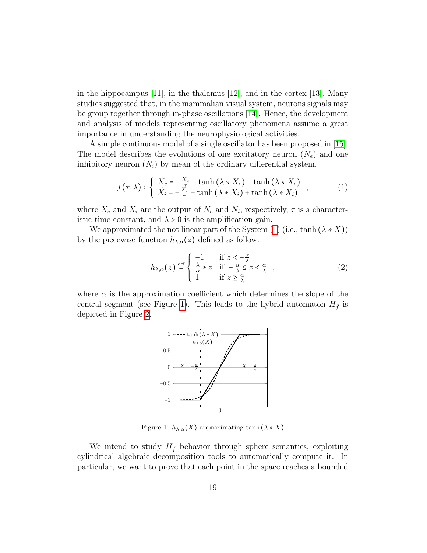in the hippocampus [\[11\]](#page-25-3), in the thalamus [\[12\]](#page-25-4), and in the cortex [\[13\]](#page-25-5). Many studies suggested that, in the mammalian visual system, neurons signals may be group together through in-phase oscillations [\[14\]](#page-25-6). Hence, the development and analysis of models representing oscillatory phenomena assume a great importance in understanding the neurophysiological activities.

A simple continuous model of a single oscillator has been proposed in [\[15\]](#page-25-7). The model describes the evolutions of one excitatory neuron  $(N_e)$  and one inhibitory neuron  $(N_i)$  by mean of the ordinary differential system.

<span id="page-18-0"></span>
$$
f(\tau,\lambda): \begin{cases} \n\dot{X}_e = -\frac{X_e}{\tau} + \tanh(\lambda * X_e) - \tanh(\lambda * X_e) \\
\dot{X}_i = -\frac{X_i}{\tau} + \tanh(\lambda * X_i) + \tanh(\lambda * X_i) \n\end{cases}
$$
\n(1)

where  $X_e$  and  $X_i$  are the output of  $N_e$  and  $N_i$ , respectively,  $\tau$  is a characteristic time constant, and  $\lambda > 0$  is the amplification gain.

We approximated the not linear part of the System [\(1\)](#page-18-0) (i.e., tanh  $(\lambda * X)$ ) by the piecewise function  $h_{\lambda,\alpha}(z)$  defined as follow:

$$
h_{\lambda,\alpha}(z) \stackrel{\text{def}}{=} \begin{cases} -1 & \text{if } z < -\frac{\alpha}{\lambda} \\ \frac{\lambda}{\alpha} * z & \text{if } -\frac{\alpha}{\lambda} \le z < \frac{\alpha}{\lambda} \\ 1 & \text{if } z \ge \frac{\alpha}{\lambda} \end{cases} \tag{2}
$$

where  $\alpha$  is the approximation coefficient which determines the slope of the central segment (see Figure [1\)](#page-18-1). This leads to the hybrid automaton  $H_{\tilde{f}}$  is depicted in Figure [2.](#page-19-0)



<span id="page-18-1"></span>Figure 1:  $h_{\lambda,\alpha}(X)$  approximating tanh  $(\lambda * X)$ 

We intend to study  $H_{\tilde{f}}$  behavior through sphere semantics, exploiting cylindrical algebraic decomposition tools to automatically compute it. In particular, we want to prove that each point in the space reaches a bounded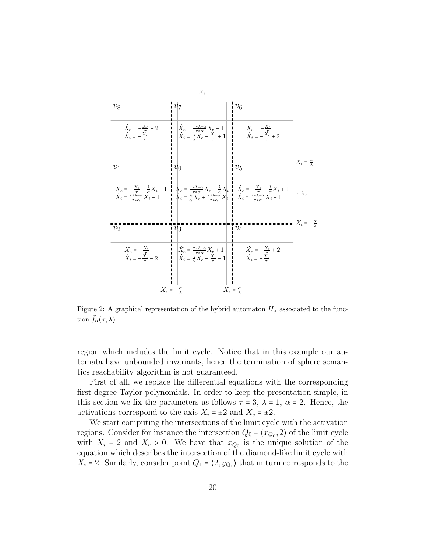

<span id="page-19-0"></span>Figure 2: A graphical representation of the hybrid automaton  $H_{\tilde{f}}$  associated to the function  $\tilde{f}_{\alpha}(\tau,\lambda)$ 

region which includes the limit cycle. Notice that in this example our automata have unbounded invariants, hence the termination of sphere semantics reachability algorithm is not guaranteed.

First of all, we replace the differential equations with the corresponding first-degree Taylor polynomials. In order to keep the presentation simple, in this section we fix the parameters as follows  $\tau = 3$ ,  $\lambda = 1$ ,  $\alpha = 2$ . Hence, the activations correspond to the axis  $X_i = \pm 2$  and  $X_e = \pm 2$ .

We start computing the intersections of the limit cycle with the activation regions. Consider for instance the intersection  $Q_0 = \langle x_{Q_0}, 2 \rangle$  of the limit cycle with  $X_i = 2$  and  $X_e > 0$ . We have that  $x_{Q_0}$  is the unique solution of the equation which describes the intersection of the diamond-like limit cycle with  $X_i = 2$ . Similarly, consider point  $Q_1 = \langle 2, y_{Q_1} \rangle$  that in turn corresponds to the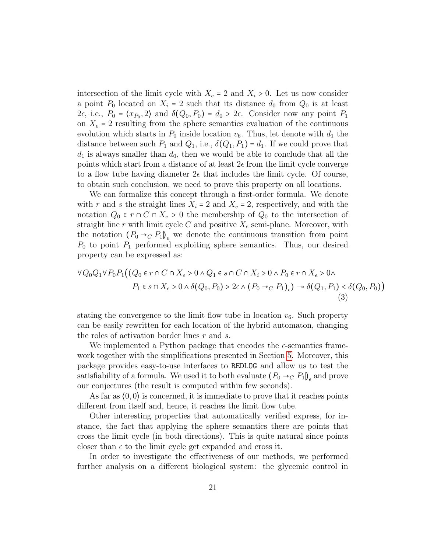intersection of the limit cycle with  $X_e = 2$  and  $X_i > 0$ . Let us now consider a point  $P_0$  located on  $X_i = 2$  such that its distance  $d_0$  from  $Q_0$  is at least 2 $\epsilon$ , i.e.,  $P_0 = \langle x_{P_0}, 2 \rangle$  and  $\delta(Q_0, P_0) = d_0 > 2\epsilon$ . Consider now any point  $P_1$ on  $X_e = 2$  resulting from the sphere semantics evaluation of the continuous evolution which starts in  $P_0$  inside location  $v_6$ . Thus, let denote with  $d_1$  the distance between such  $P_1$  and  $Q_1$ , i.e.,  $\delta(Q_1, P_1) = d_1$ . If we could prove that  $d_1$  is always smaller than  $d_0$ , then we would be able to conclude that all the points which start from a distance of at least  $2\epsilon$  from the limit cycle converge to a flow tube having diameter  $2\epsilon$  that includes the limit cycle. Of course, to obtain such conclusion, we need to prove this property on all locations.

We can formalize this concept through a first-order formula. We denote with r and s the straight lines  $X_i = 2$  and  $X_e = 2$ , respectively, and with the notation  $Q_0 \in r \cap C \cap X_e > 0$  the membership of  $Q_0$  to the intersection of straight line r with limit cycle  $C$  and positive  $X_e$  semi-plane. Moreover, with the notation  $(P_0 \rightarrow_C P_1)$ , we denote the continuous transition from point  $P_0$  to point  $P_1$  performed exploiting sphere semantics. Thus, our desired property can be expressed as:

$$
\forall Q_0 Q_1 \forall P_0 P_1 \big( (Q_0 \in r \cap C \cap X_e > 0 \land Q_1 \in s \cap C \cap X_i > 0 \land P_0 \in r \cap X_e > 0 \land P_1 \in s \cap X_e > 0 \land \delta(Q_0, P_0) > 2\epsilon \land (P_0 \rightarrow_C P_1)_{\epsilon} \big) \rightarrow \delta(Q_1, P_1) < \delta(Q_0, P_0) \big)
$$
\n
$$
(3)
$$

stating the convergence to the limit flow tube in location  $v_6$ . Such property can be easily rewritten for each location of the hybrid automaton, changing the roles of activation border lines  $r$  and  $s$ .

We implemented a Python package that encodes the  $\epsilon$ -semantics framework together with the simplifications presented in Section [5.](#page-15-0) Moreover, this package provides easy-to-use interfaces to REDLOG and allow us to test the satisfiability of a formula. We used it to both evaluate  $( P_0 \rightarrow_C P_1 )_{\epsilon}$  and prove our conjectures (the result is computed within few seconds).

As far as  $(0,0)$  is concerned, it is immediate to prove that it reaches points different from itself and, hence, it reaches the limit flow tube.

Other interesting properties that automatically verified express, for instance, the fact that applying the sphere semantics there are points that cross the limit cycle (in both directions). This is quite natural since points closer than  $\epsilon$  to the limit cycle get expanded and cross it.

In order to investigate the effectiveness of our methods, we performed further analysis on a different biological system: the glycemic control in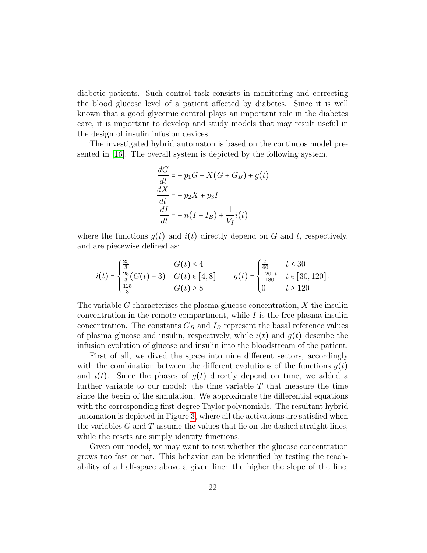diabetic patients. Such control task consists in monitoring and correcting the blood glucose level of a patient affected by diabetes. Since it is well known that a good glycemic control plays an important role in the diabetes care, it is important to develop and study models that may result useful in the design of insulin infusion devices.

The investigated hybrid automaton is based on the continuos model presented in [\[16\]](#page-25-8). The overall system is depicted by the following system.

$$
\frac{dG}{dt} = -p_1G - X(G + G_B) + g(t)
$$
  
\n
$$
\frac{dX}{dt} = -p_2X + p_3I
$$
  
\n
$$
\frac{dI}{dt} = -n(I + I_B) + \frac{1}{V_I}i(t)
$$

where the functions  $g(t)$  and  $i(t)$  directly depend on G and t, respectively, and are piecewise defined as:

$$
i(t) = \begin{cases} \frac{25}{3} & G(t) \le 4\\ \frac{25}{3}(G(t) - 3) & G(t) \in [4, 8] \\ \frac{125}{3} & G(t) \ge 8 \end{cases} \qquad g(t) = \begin{cases} \frac{t}{60} & t \le 30\\ \frac{120 - t}{180} & t \in [30, 120] \\ 0 & t \ge 120 \end{cases}.
$$

The variable G characterizes the plasma glucose concentration,  $X$  the insulin concentration in the remote compartment, while  $I$  is the free plasma insulin concentration. The constants  $G_B$  and  $I_B$  represent the basal reference values of plasma glucose and insulin, respectively, while  $i(t)$  and  $g(t)$  describe the infusion evolution of glucose and insulin into the bloodstream of the patient.

First of all, we dived the space into nine different sectors, accordingly with the combination between the different evolutions of the functions  $q(t)$ and  $i(t)$ . Since the phases of  $g(t)$  directly depend on time, we added a further variable to our model: the time variable  $T$  that measure the time since the begin of the simulation. We approximate the differential equations with the corresponding first-degree Taylor polynomials. The resultant hybrid automaton is depicted in Figure [3,](#page-22-0) where all the activations are satisfied when the variables  $G$  and  $T$  assume the values that lie on the dashed straight lines, while the resets are simply identity functions.

Given our model, we may want to test whether the glucose concentration grows too fast or not. This behavior can be identified by testing the reachability of a half-space above a given line: the higher the slope of the line,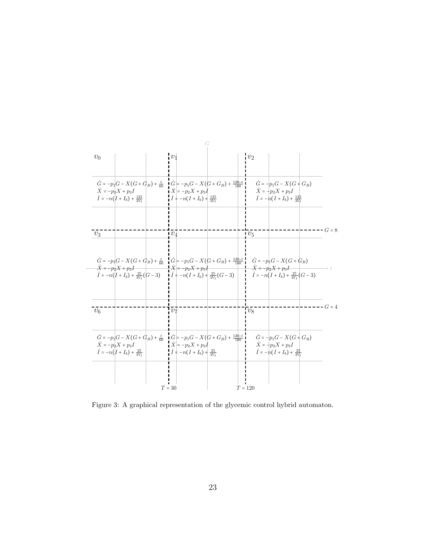

<span id="page-22-0"></span>Figure 3: A graphical representation of the glycemic control hybrid automaton.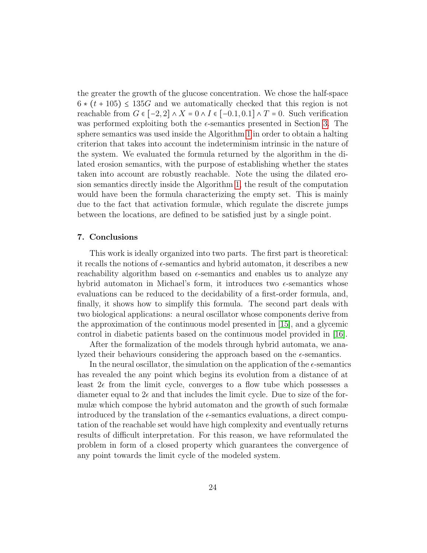the greater the growth of the glucose concentration. We chose the half-space  $6 * (t + 105) \le 135G$  and we automatically checked that this region is not reachable from  $G \in [-2, 2] \wedge X = 0 \wedge I \in [-0.1, 0.1] \wedge T = 0$ . Such verification was performed exploiting both the  $\epsilon$ -semantics presented in Section [3.](#page-7-0) The sphere semantics was used inside the Algorithm [1](#page-9-0) in order to obtain a halting criterion that takes into account the indeterminism intrinsic in the nature of the system. We evaluated the formula returned by the algorithm in the dilated erosion semantics, with the purpose of establishing whether the states taken into account are robustly reachable. Note the using the dilated erosion semantics directly inside the Algorithm [1,](#page-9-0) the result of the computation would have been the formula characterizing the empty set. This is mainly due to the fact that activation formulæ, which regulate the discrete jumps between the locations, are defined to be satisfied just by a single point.

## <span id="page-23-0"></span>7. Conclusions

This work is ideally organized into two parts. The first part is theoretical: it recalls the notions of  $\epsilon$ -semantics and hybrid automaton, it describes a new reachability algorithm based on  $\epsilon$ -semantics and enables us to analyze any hybrid automaton in Michael's form, it introduces two  $\epsilon$ -semantics whose evaluations can be reduced to the decidability of a first-order formula, and, finally, it shows how to simplify this formula. The second part deals with two biological applications: a neural oscillator whose components derive from the approximation of the continuous model presented in [\[15\]](#page-25-7), and a glycemic control in diabetic patients based on the continuous model provided in [\[16\]](#page-25-8).

After the formalization of the models through hybrid automata, we analyzed their behaviours considering the approach based on the  $\epsilon$ -semantics.

In the neural oscillator, the simulation on the application of the  $\epsilon$ -semantics has revealed the any point which begins its evolution from a distance of at least  $2\epsilon$  from the limit cycle, converges to a flow tube which possesses a diameter equal to  $2\epsilon$  and that includes the limit cycle. Due to size of the formulæ which compose the hybrid automaton and the growth of such formalæ introduced by the translation of the  $\epsilon$ -semantics evaluations, a direct computation of the reachable set would have high complexity and eventually returns results of difficult interpretation. For this reason, we have reformulated the problem in form of a closed property which guarantees the convergence of any point towards the limit cycle of the modeled system.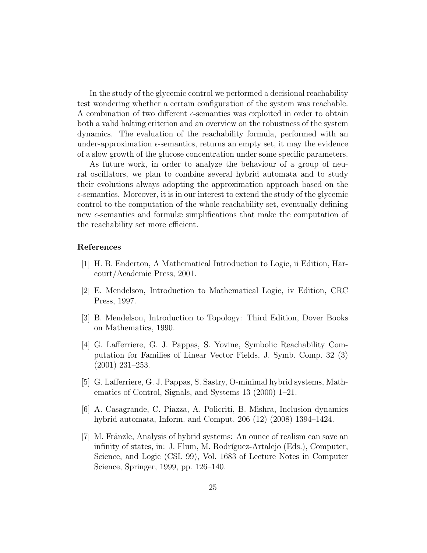In the study of the glycemic control we performed a decisional reachability test wondering whether a certain configuration of the system was reachable. A combination of two different  $\epsilon$ -semantics was exploited in order to obtain both a valid halting criterion and an overview on the robustness of the system dynamics. The evaluation of the reachability formula, performed with an under-approximation  $\epsilon$ -semantics, returns an empty set, it may the evidence of a slow growth of the glucose concentration under some specific parameters.

As future work, in order to analyze the behaviour of a group of neural oscillators, we plan to combine several hybrid automata and to study their evolutions always adopting the approximation approach based on the  $\epsilon$ -semantics. Moreover, it is in our interest to extend the study of the glycemic control to the computation of the whole reachability set, eventually defining new  $\epsilon$ -semantics and formulæ simplifications that make the computation of the reachability set more efficient.

## References

- <span id="page-24-0"></span>[1] H. B. Enderton, A Mathematical Introduction to Logic, ii Edition, Harcourt/Academic Press, 2001.
- <span id="page-24-1"></span>[2] E. Mendelson, Introduction to Mathematical Logic, iv Edition, CRC Press, 1997.
- <span id="page-24-2"></span>[3] B. Mendelson, Introduction to Topology: Third Edition, Dover Books on Mathematics, 1990.
- <span id="page-24-3"></span>[4] G. Lafferriere, G. J. Pappas, S. Yovine, Symbolic Reachability Computation for Families of Linear Vector Fields, J. Symb. Comp. 32 (3) (2001) 231–253.
- <span id="page-24-4"></span>[5] G. Lafferriere, G. J. Pappas, S. Sastry, O-minimal hybrid systems, Mathematics of Control, Signals, and Systems 13 (2000) 1–21.
- <span id="page-24-5"></span>[6] A. Casagrande, C. Piazza, A. Policriti, B. Mishra, Inclusion dynamics hybrid automata, Inform. and Comput. 206 (12) (2008) 1394–1424.
- <span id="page-24-6"></span>[7] M. Fränzle, Analysis of hybrid systems: An ounce of realism can save an infinity of states, in: J. Flum, M. Rodríguez-Artalejo (Eds.), Computer, Science, and Logic (CSL 99), Vol. 1683 of Lecture Notes in Computer Science, Springer, 1999, pp. 126–140.